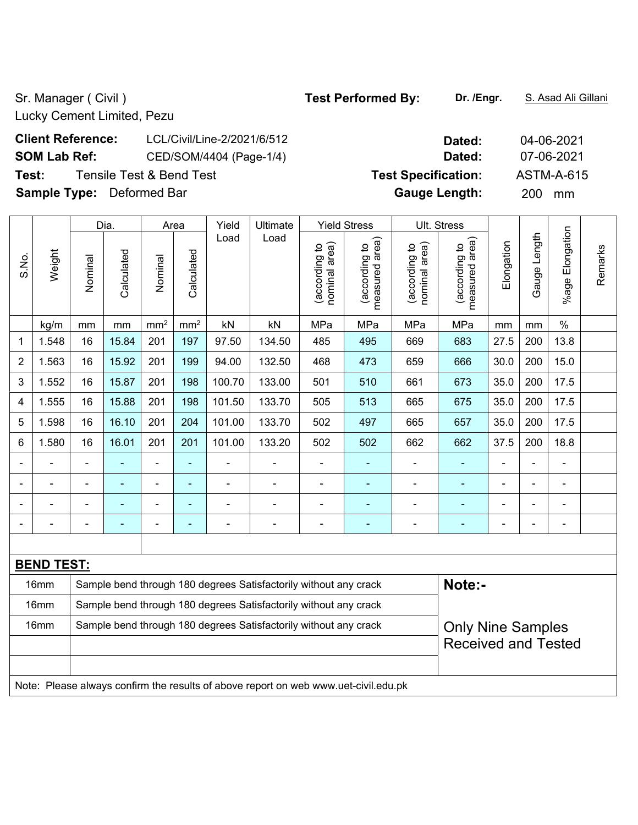Sr. Manager ( Civil ) **Test Performed By:** Dr. /Engr. **S. Asad Ali Gillani** Sr. Manager ( Civil )

Lucky Cement Limited, Pezu

# **Client Reference:** LCL/Civil/Line-2/2021/6/512 **Dated:** 04-06-2021 **SOM Lab Ref:** CED/SOM/4404 (Page-1/4) **Dated:** 07-06-2021 **Test:** Tensile Test & Bend Test **Test Specification:** ASTM-A-615 **Sample Type:** Deformed Bar **Gauge Length:** 200 mm

Dia. | Area | Yield | Ultimate | Yield Stress | Ult. Stress %age Elongation %age Elongation Gauge Length Load Load Gauge Length (according to<br>measured area) (according to<br>measured area) measured area) measured area) (according to<br>nominal area) (according to<br>nominal area) nominal area) nominal area) Elongation (according to (according to (according to (according to Elongation **Calculated Calculated** Weight Calculated Calculated S.No. Nominal Nominal Nominal Nominal  $\vert$  kg/m  $\vert$  mm  $\vert$  mm $^2$   $\vert$  mm $^2$   $\vert$  kN  $\vert$  kN  $\vert$  MPa  $\vert$  MPa  $\vert$  MPa  $\vert$  mm  $\vert$  mm  $\vert$  % 1 | 1.548 | 16 | 15.84 | 201 | 197 | 97.50 | 134.50 | 485 | 495 | 669 | 683 | 27.5 | 200 | 13.8 2 | 1.563 | 16 | 15.92 | 201 | 199 | 94.00 | 132.50 | 468 | 473 | 659 | 666 | 30.0 | 200 | 15.0 3 | 1.552 | 16 | 15.87 | 201 | 198 | 100.70 | 133.00 | 501 | 510 | 661 | 673 | 35.0 | 200 | 17.5 4 | 1.555 | 16 | 15.88 | 201 | 198 | 101.50 | 133.70 | 505 | 513 | 665 | 675 | 35.0 | 200 | 17.5 5 | 1.598 | 16 | 16.10 | 201 | 204 | 101.00 | 133.70 | 502 | 497 | 665 | 657 | 35.0 | 200 | 17.5 6 | 1.580 | 16 | 16.01 | 201 | 201 | 101.00 | 133.20 | 502 | 502 | 662 | 662 | 37.5 | 200 | 18.8 - - - - - - - - - - - - - - - - - - - - - - - - - - - - - - - - - - - - - - - - - - - - - - - - - - - - - - - - - - - - **BEND TEST:**  16mm Sample bend through 180 degrees Satisfactorily without any crack **Note:**-16mm Sample bend through 180 degrees Satisfactorily without any crack 16mm Sample bend through 180 degrees Satisfactorily without any crack Only Nine Samples Received and Tested

Note: Please always confirm the results of above report on web www.uet-civil.edu.pk

Remarks

Remarks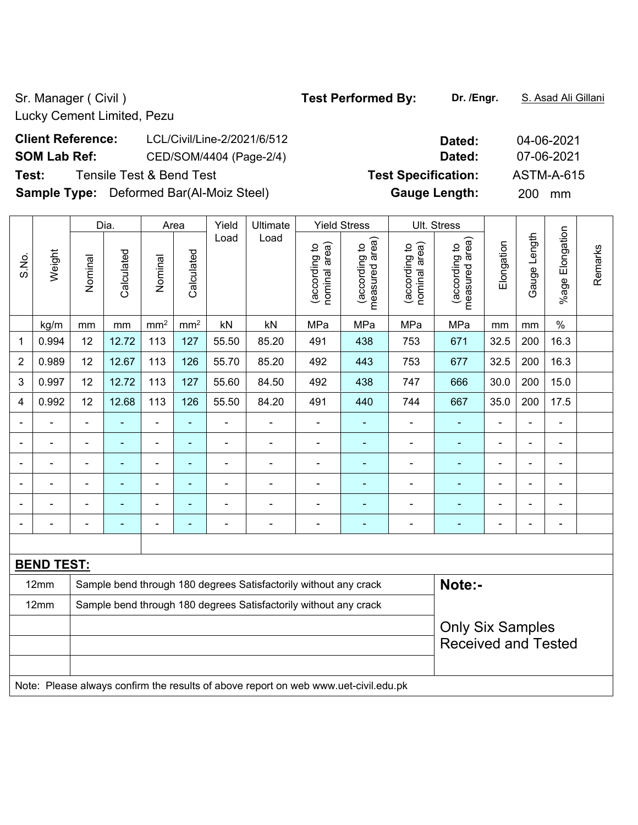Lucky Cement Limited, Pezu

# **Client Reference:** LCL/Civil/Line-2/2021/6/512 **Dated:** 04-06-2021 **SOM Lab Ref:** CED/SOM/4404 (Page-2/4) **Dated:** 07-06-2021 **Test:** Tensile Test & Bend Test **Test Specification:** ASTM-A-615 **Sample Type:** Deformed Bar(Al-Moiz Steel) **Gauge Length:** 200 mm

|                |                                                                                     |                | Dia.           |                 | Area            | Yield          | Ultimate                                                         |                                | <b>Yield Stress</b>                |                                | Ult. Stress                     |                |                |                 |         |
|----------------|-------------------------------------------------------------------------------------|----------------|----------------|-----------------|-----------------|----------------|------------------------------------------------------------------|--------------------------------|------------------------------------|--------------------------------|---------------------------------|----------------|----------------|-----------------|---------|
| S.No.          | Weight                                                                              | Nominal        | Calculated     | Nominal         | Calculated      | Load           | Load                                                             | nominal area)<br>(according to | area)<br>(according to<br>measured | (according to<br>nominal area) | measured area)<br>(according to | Elongation     | Gauge Length   | %age Elongation | Remarks |
|                | kg/m                                                                                | mm             | mm             | mm <sup>2</sup> | mm <sup>2</sup> | kN             | kN                                                               | MPa                            | MPa                                | MPa                            | MPa                             | mm             | mm             | $\%$            |         |
| 1              | 0.994                                                                               | 12             | 12.72          | 113             | 127             | 55.50          | 85.20                                                            | 491                            | 438                                | 753                            | 671                             | 32.5           | 200            | 16.3            |         |
| $\overline{2}$ | 0.989                                                                               | 12             | 12.67          | 113             | 126             | 55.70          | 85.20                                                            | 492                            | 443                                | 753                            | 677                             | 32.5           | 200            | 16.3            |         |
| 3              | 0.997                                                                               | 12             | 12.72          | 113             | 127             | 55.60          | 84.50                                                            | 492                            | 438                                | 747                            | 666                             | 30.0           | 200            | 15.0            |         |
| 4              | 0.992                                                                               | 12             | 12.68          | 113             | 126             | 55.50          | 84.20                                                            | 491                            | 440                                | 744                            | 667                             | 35.0           | 200            | 17.5            |         |
| $\blacksquare$ |                                                                                     | $\blacksquare$ |                | $\blacksquare$  | $\blacksquare$  | $\blacksquare$ | ÷,                                                               | ä,                             | $\blacksquare$                     | ÷,                             | ä,                              | $\blacksquare$ | ä,             |                 |         |
|                |                                                                                     |                |                | ä,              | ä,              | $\blacksquare$ | ä,                                                               | ä,                             | ÷,                                 | ä,                             | ä,                              | $\blacksquare$ | ä,             | $\blacksquare$  |         |
|                |                                                                                     |                |                | ٠               | ٠               |                | $\blacksquare$                                                   |                                |                                    | ÷                              | ÷                               | Ē,             | $\blacksquare$ |                 |         |
| $\blacksquare$ |                                                                                     | $\blacksquare$ | $\blacksquare$ | $\blacksquare$  | $\blacksquare$  |                | $\blacksquare$                                                   | $\blacksquare$                 | $\blacksquare$                     | ÷                              | $\blacksquare$                  | $\blacksquare$ | $\blacksquare$ | $\blacksquare$  |         |
| $\blacksquare$ |                                                                                     | Ē,             |                | $\blacksquare$  | $\blacksquare$  | $\blacksquare$ | $\blacksquare$                                                   | $\blacksquare$                 |                                    | ÷                              | $\blacksquare$                  | ä,             | $\blacksquare$ | $\blacksquare$  |         |
| $\blacksquare$ |                                                                                     | -              | $\blacksquare$ | ÷               | ٠               | $\overline{a}$ | $\blacksquare$                                                   | $\blacksquare$                 | $\blacksquare$                     | ä,                             | ÷                               | $\blacksquare$ | $\blacksquare$ | $\blacksquare$  |         |
|                |                                                                                     |                |                |                 |                 |                |                                                                  |                                |                                    |                                |                                 |                |                |                 |         |
|                | <b>BEND TEST:</b>                                                                   |                |                |                 |                 |                |                                                                  |                                |                                    |                                |                                 |                |                |                 |         |
|                | 12mm                                                                                |                |                |                 |                 |                | Sample bend through 180 degrees Satisfactorily without any crack |                                |                                    |                                | Note:-                          |                |                |                 |         |
|                | 12mm                                                                                |                |                |                 |                 |                | Sample bend through 180 degrees Satisfactorily without any crack |                                |                                    |                                |                                 |                |                |                 |         |
|                |                                                                                     |                |                |                 |                 |                |                                                                  |                                |                                    |                                | <b>Only Six Samples</b>         |                |                |                 |         |
|                |                                                                                     |                |                |                 |                 |                |                                                                  |                                |                                    |                                | <b>Received and Tested</b>      |                |                |                 |         |
|                |                                                                                     |                |                |                 |                 |                |                                                                  |                                |                                    |                                |                                 |                |                |                 |         |
|                | Note: Please always confirm the results of above report on web www.uet-civil.edu.pk |                |                |                 |                 |                |                                                                  |                                |                                    |                                |                                 |                |                |                 |         |
|                |                                                                                     |                |                |                 |                 |                |                                                                  |                                |                                    |                                |                                 |                |                |                 |         |

## Sr. Manager ( Civil ) **Test Performed By:** Dr. /Engr. **S. Asad Ali Gillani** Sr. Manager ( Civil )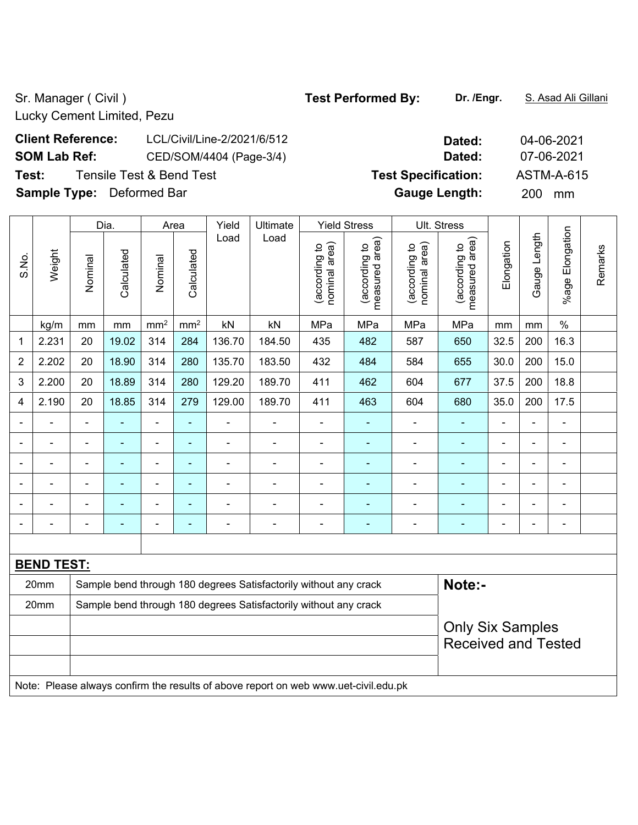Sr. Manager ( Civil ) **Test Performed By:** Dr. /Engr. **S. Asad Ali Gillani** Sr. Manager ( Civil )

Lucky Cement Limited, Pezu

# **Client Reference:** LCL/Civil/Line-2/2021/6/512 **Dated:** 04-06-2021 **SOM Lab Ref:** CED/SOM/4404 (Page-3/4) **Dated:** 07-06-2021 **Test:** Tensile Test & Bend Test **Test Specification:** ASTM-A-615 **Sample Type:** Deformed Bar **Gauge Length:** 200 mm

%age Elongation %age Elongation Gauge Length Load Load Gauge Length (according to<br>measured area) (according to<br>measured area) measured area) measured area) (according to<br>nominal area) (according to<br>nominal area) nominal area) nominal area) Elongation Elongation (according to (according to (according to (according to Remarks Remarks **Calculated Calculated** Weight S.No. Calculated Calculated Nominal Nominal Nominal Nominal  $\vert$  kg/m  $\vert$  mm  $\vert$  mm $^2$   $\vert$  mm $^2$   $\vert$  kN  $\vert$  kN  $\vert$  MPa  $\vert$  MPa  $\vert$  MPa  $\vert$  mm  $\vert$  mm  $\vert$  % 1 | 2.231 | 20 | 19.02 | 314 | 284 | 136.70 | 184.50 | 435 | 482 | 587 | 650 | 32.5 | 200 | 16.3 2 | 2.202 | 20 | 18.90 | 314 | 280 | 135.70 | 183.50 | 432 | 484 | 584 | 655 | 30.0 | 200 | 15.0 3 | 2.200 | 20 | 18.89 | 314 | 280 | 129.20 | 189.70 | 411 | 462 | 604 | 677 | 37.5 | 200 | 18.8 4 | 2.190 | 20 | 18.85 | 314 | 279 | 129.00 | 189.70 | 411 | 463 | 604 | 680 | 35.0 | 200 | 17.5 - - - - - - - - - - - - - - - - - - - - - - - - - - - - - - - - - - - - - - - - - - - - - - - - - - - - - - - - - - - - - - - - - - - - - - - - - - - - - - - - - - - - - - - - - - **BEND TEST:**  20mm Sample bend through 180 degrees Satisfactorily without any crack **Note:- Note:** 20mm Sample bend through 180 degrees Satisfactorily without any crack Only Six Samples Received and Tested Note: Please always confirm the results of above report on web www.uet-civil.edu.pk

Dia. | Area | Yield | Ultimate | Yield Stress | Ult. Stress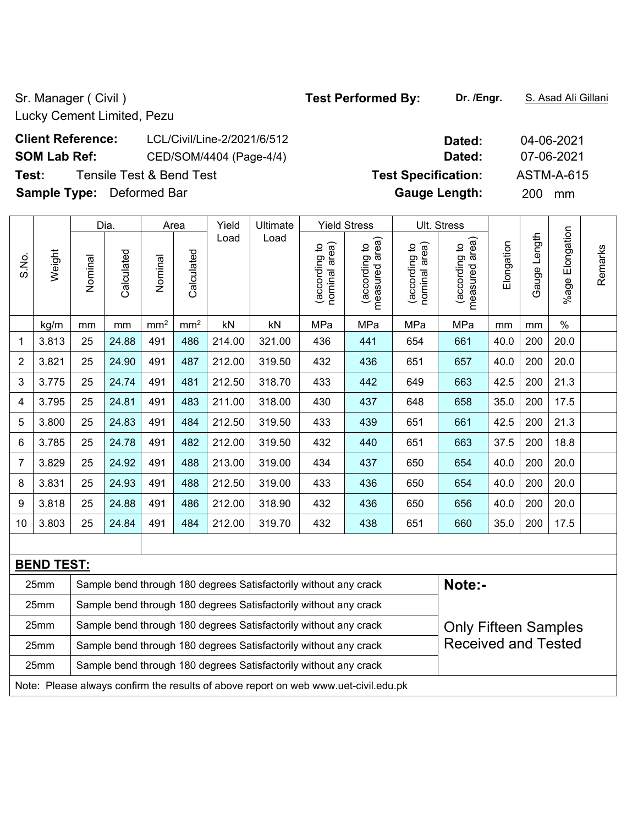Sr. Manager ( Civil ) **Test Performed By:** Dr. /Engr. **S. Asad Ali Gillani** Sr. Manager ( Civil )

Lucky Cement Limited, Pezu

# **Client Reference:** LCL/Civil/Line-2/2021/6/512 **Dated:** 04-06-2021 **SOM Lab Ref:** CED/SOM/4404 (Page-4/4) **Dated:** 07-06-2021 **Test:** Tensile Test & Bend Test **Test Specification:** ASTM-A-615 **Sample Type:** Deformed Bar **Gauge Length:** 200 mm

Dia. | Area | Yield | Ultimate | Yield Stress | Ult. Stress %age Elongation %age Elongation Gauge Length Load Load Gauge Length (according to<br>measured area) measured area) measured area) (according to<br>nominal area) (according to<br>measured area) (according to<br>nominal area) nominal area) nominal area) Elongation (according to (according to (according to (according to Elongation **Calculated Calculated** Weight Calculated Calculated S.No. Nominal Nominal Nominal Nominal  $\vert$  kg/m  $\vert$  mm  $\vert$  mm $^2$   $\vert$  mm $^2$   $\vert$  kN  $\vert$  kN  $\vert$  MPa  $\vert$  MPa  $\vert$  MPa  $\vert$  mm  $\vert$  mm  $\vert$  % 1 | 3.813 | 25 | 24.88 | 491 | 486 | 214.00 | 321.00 | 436 | 441 | 654 | 661 | 40.0 | 200 | 20.0 2 | 3.821 | 25 | 24.90 | 491 | 487 | 212.00 | 319.50 | 432 | 436 | 651 | 657 | 40.0 | 200 | 20.0 3 | 3.775 | 25 | 24.74 | 491 | 481 | 212.50 | 318.70 | 433 | 442 | 649 | 663 | 42.5 | 200 | 21.3 4 | 3.795 | 25 | 24.81 | 491 | 483 | 211.00 | 318.00 | 430 | 437 | 648 | 658 | 35.0 | 200 | 17.5 5 3.800 25 24.83 491 484 212.50 319.50 433 439 651 661 42.5 200 21.3 6 3.785 25 24.78 491 482 212.00 319.50 432 440 651 663 37.5 200 18.8 7 | 3.829 | 25 | 24.92 | 491 | 488 | 213.00 | 319.00 | 434 | 437 | 650 | 654 | 40.0 | 200 | 20.0 8 | 3.831 | 25 | 24.93 | 491 | 488 | 212.50 | 319.00 | 433 | 436 | 650 | 654 | 40.0 | 200 | 20.0 9 | 3.818 | 25 | 24.88 | 491 | 486 | 212.00 | 318.90 | 432 | 436 | 650 | 656 | 40.0 | 200 | 20.0 10 3.803 25 24.84 491 484 212.00 319.70 432 438 651 660 35.0 200 17.5

| <b>BEND TEST:</b> |                                                                                     |                             |  |  |  |  |  |  |  |  |  |
|-------------------|-------------------------------------------------------------------------------------|-----------------------------|--|--|--|--|--|--|--|--|--|
| 25mm              | Sample bend through 180 degrees Satisfactorily without any crack                    | Note:-                      |  |  |  |  |  |  |  |  |  |
| 25mm              | Sample bend through 180 degrees Satisfactorily without any crack                    |                             |  |  |  |  |  |  |  |  |  |
| 25mm              | Sample bend through 180 degrees Satisfactorily without any crack                    | <b>Only Fifteen Samples</b> |  |  |  |  |  |  |  |  |  |
| 25mm              | Sample bend through 180 degrees Satisfactorily without any crack                    | <b>Received and Tested</b>  |  |  |  |  |  |  |  |  |  |
| 25mm              | Sample bend through 180 degrees Satisfactorily without any crack                    |                             |  |  |  |  |  |  |  |  |  |
|                   | Note: Please always confirm the results of above report on web www.uet-civil.edu.pk |                             |  |  |  |  |  |  |  |  |  |

Remarks

Remarks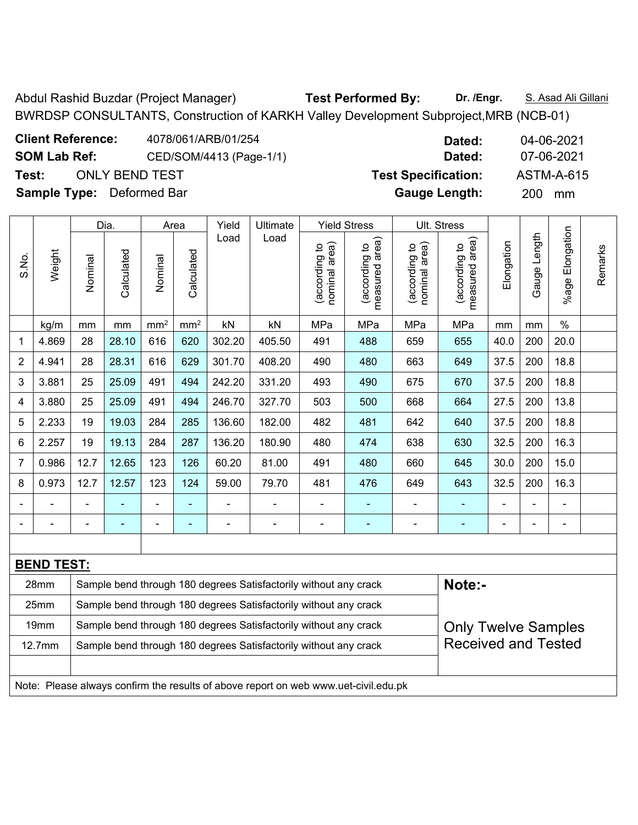Abdul Rashid Buzdar (Project Manager) **Test Performed By: Dr. /Engr.** S. Asad Ali Gillani BWRDSP CONSULTANTS, Construction of KARKH Valley Development Subproject,MRB (NCB-01)

Only Twelve Samples Received and Tested

| <b>Client Reference:</b>         | 4078/061/ARB/01/254     | Dated:                     | 04-06-2021        |
|----------------------------------|-------------------------|----------------------------|-------------------|
| <b>SOM Lab Ref:</b>              | CED/SOM/4413 (Page-1/1) | Dated:                     | 07-06-2021        |
| Test:<br>ONLY BEND TEST          |                         | <b>Test Specification:</b> | <b>ASTM-A-615</b> |
| <b>Sample Type:</b> Deformed Bar |                         | <b>Gauge Length:</b>       | <b>200</b><br>mm  |

19mm | Sample bend through 180 degrees Satisfactorily without any crack

12.7mm | Sample bend through 180 degrees Satisfactorily without any crack

Note: Please always confirm the results of above report on web www.uet-civil.edu.pk

|                          |                   |                                                                  | Dia.       |                 | Area            | Yield          | Ultimate                                                         |                                | <b>Yield Stress</b>             |                                | Ult. Stress                     |                |                |                       |         |
|--------------------------|-------------------|------------------------------------------------------------------|------------|-----------------|-----------------|----------------|------------------------------------------------------------------|--------------------------------|---------------------------------|--------------------------------|---------------------------------|----------------|----------------|-----------------------|---------|
| S.No.                    | Weight            | Nominal                                                          | Calculated | Nominal         | Calculated      | Load           | Load                                                             | nominal area)<br>(according to | measured area)<br>(according to | (according to<br>nominal area) | measured area)<br>(according to | Elongation     | Gauge Length   | Elongation<br>$%$ age | Remarks |
|                          | kg/m              | mm                                                               | mm         | mm <sup>2</sup> | mm <sup>2</sup> | kN             | kN                                                               | MPa                            | MPa                             | MPa                            | MPa                             | mm             | mm             | $\%$                  |         |
| 1                        | 4.869             | 28                                                               | 28.10      | 616             | 620             | 302.20         | 405.50                                                           | 491                            | 488                             | 659                            | 655                             | 40.0           | 200            | 20.0                  |         |
| $\sqrt{2}$               | 4.941             | 28                                                               | 28.31      | 616             | 629             | 301.70         | 408.20                                                           | 490                            | 480                             | 663                            | 649                             | 37.5           | 200            | 18.8                  |         |
| $\mathbf{3}$             | 3.881             | 25                                                               | 25.09      | 491             | 494             | 242.20         | 331.20                                                           | 493                            | 490                             | 675                            | 670                             | 37.5           | 200            | 18.8                  |         |
| $\overline{\mathcal{A}}$ | 3.880             | 25                                                               | 25.09      | 491             | 494             | 246.70         | 327.70                                                           | 503                            | 500                             | 668                            | 664                             | 27.5           | 200            | 13.8                  |         |
| 5                        | 2.233             | 19                                                               | 19.03      | 284             | 285             | 136.60         | 182.00                                                           | 482                            | 481                             | 642                            | 640                             | 37.5           | 200            | 18.8                  |         |
| $6\,$                    | 2.257             | 19                                                               | 19.13      | 284             | 287             | 136.20         | 180.90                                                           | 480                            | 474                             | 638                            | 630                             | 32.5           | 200            | 16.3                  |         |
| $\overline{7}$           | 0.986             | 12.7                                                             | 12.65      | 123             | 126             | 60.20          | 81.00                                                            | 491                            | 480                             | 660                            | 645                             | 30.0           | 200            | 15.0                  |         |
| 8                        | 0.973             | 12.7                                                             | 12.57      | 123             | 124             | 59.00          | 79.70                                                            | 481                            | 476                             | 649                            | 643                             | 32.5           | 200            | 16.3                  |         |
|                          |                   |                                                                  |            |                 |                 |                |                                                                  |                                |                                 |                                |                                 |                |                |                       |         |
|                          |                   |                                                                  | ۰          |                 | ۰               | $\blacksquare$ | $\overline{\phantom{0}}$                                         | $\overline{a}$                 | $\overline{\phantom{0}}$        | $\blacksquare$                 | $\blacksquare$                  | $\blacksquare$ | $\blacksquare$ | $\blacksquare$        |         |
|                          |                   |                                                                  |            |                 |                 |                |                                                                  |                                |                                 |                                |                                 |                |                |                       |         |
|                          | <b>BEND TEST:</b> |                                                                  |            |                 |                 |                |                                                                  |                                |                                 |                                |                                 |                |                |                       |         |
|                          | 28mm              |                                                                  |            |                 |                 |                | Sample bend through 180 degrees Satisfactorily without any crack |                                |                                 |                                | Note:-                          |                |                |                       |         |
|                          | 25mm              | Sample bend through 180 degrees Satisfactorily without any crack |            |                 |                 |                |                                                                  |                                |                                 |                                |                                 |                |                |                       |         |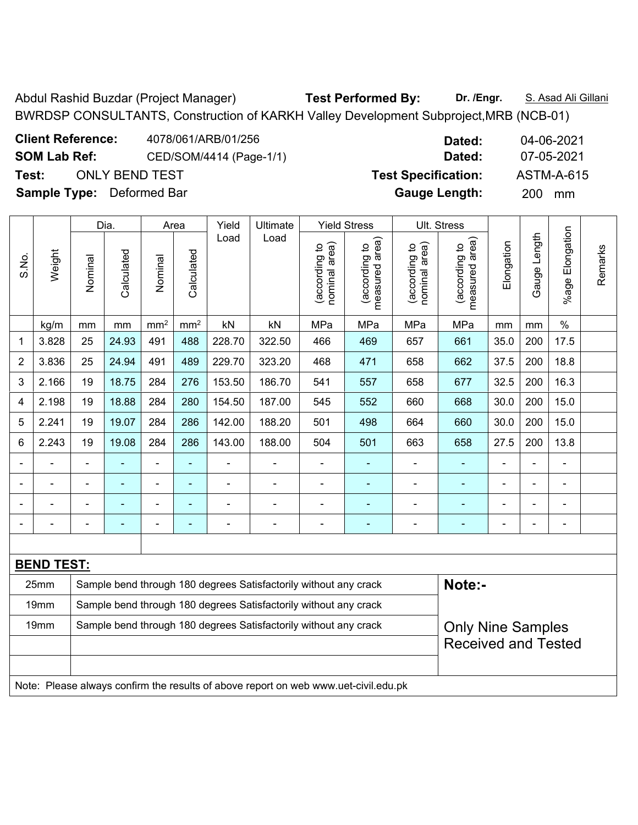Abdul Rashid Buzdar (Project Manager) **Test Performed By: Dr. /Engr.** S. Asad Ali Gillani BWRDSP CONSULTANTS, Construction of KARKH Valley Development Subproject,MRB (NCB-01)

| <b>Client Reference:</b>         | 4078/061/ARB/01/256     | Dated:                     | 04-06-2021        |
|----------------------------------|-------------------------|----------------------------|-------------------|
| <b>SOM Lab Ref:</b>              | CED/SOM/4414 (Page-1/1) | Dated:                     | 07-05-2021        |
| Test:                            | ONLY BEND TEST          | <b>Test Specification:</b> | <b>ASTM-A-615</b> |
| <b>Sample Type:</b> Deformed Bar |                         | <b>Gauge Length:</b>       | <b>200</b><br>mm  |

|                |                   |                                                                  | Dia.       |                 | Area            | Yield  | Ultimate                                                         |                                | <b>Yield Stress</b>             |                                | Ult. Stress                        |                |                              |                              |         |
|----------------|-------------------|------------------------------------------------------------------|------------|-----------------|-----------------|--------|------------------------------------------------------------------|--------------------------------|---------------------------------|--------------------------------|------------------------------------|----------------|------------------------------|------------------------------|---------|
| S.No.          | Weight            | Nominal                                                          | Calculated | Nominal         | Calculated      | Load   | Load                                                             | nominal area)<br>(according to | measured area)<br>(according to | (according to<br>nominal area) | area)<br>(according to<br>measured | Elongation     | Length<br>Gauge              | Elongation<br>%age           | Remarks |
|                | kg/m              | mm                                                               | mm         | mm <sup>2</sup> | mm <sup>2</sup> | kN     | kN                                                               | MPa                            | MPa                             | MPa                            | MPa                                | mm             | mm                           | $\%$                         |         |
| 1              | 3.828             | 25                                                               | 24.93      | 491             | 488             | 228.70 | 322.50                                                           | 466                            | 469                             | 657                            | 661                                | 35.0           | 200                          | 17.5                         |         |
| $\overline{2}$ | 3.836             | 25                                                               | 24.94      | 491             | 489             | 229.70 | 323.20                                                           | 468                            | 471                             | 658                            | 662                                | 37.5           | 200                          | 18.8                         |         |
| 3              | 2.166             | 19                                                               | 18.75      | 284             | 276             | 153.50 | 186.70                                                           | 541                            | 557                             | 658                            | 677                                | 32.5           | 200                          | 16.3                         |         |
| 4              | 2.198             | 19                                                               | 18.88      | 284             | 280             | 154.50 | 187.00                                                           | 545                            | 552                             | 660                            | 668                                | 30.0           | 200                          | 15.0                         |         |
| 5              | 2.241             | 19                                                               | 19.07      | 284             | 286             | 142.00 | 188.20                                                           | 501                            | 498                             | 664                            | 660                                | 30.0           | 200                          | 15.0                         |         |
| 6              | 2.243             | 19                                                               | 19.08      | 284             | 286             | 143.00 | 188.00                                                           | 504                            | 501                             | 663                            | 658                                | 27.5           | 200                          | 13.8                         |         |
|                |                   |                                                                  |            |                 |                 |        | $\blacksquare$                                                   |                                |                                 |                                |                                    |                |                              |                              |         |
|                |                   | $\blacksquare$                                                   |            | -               | ۰               |        | $\blacksquare$                                                   |                                | ۰                               |                                |                                    |                | $\overline{\phantom{0}}$     | ۰                            |         |
|                |                   | $\blacksquare$                                                   |            | -               | -               |        | $\qquad \qquad \blacksquare$                                     |                                |                                 |                                |                                    |                | $\qquad \qquad \blacksquare$ | $\qquad \qquad \blacksquare$ |         |
|                |                   | $\blacksquare$                                                   | ٠          | -               |                 | -      | $\blacksquare$                                                   | $\blacksquare$                 | $\overline{\phantom{0}}$        |                                | -                                  | $\blacksquare$ | $\blacksquare$               | $\blacksquare$               |         |
|                |                   |                                                                  |            |                 |                 |        |                                                                  |                                |                                 |                                |                                    |                |                              |                              |         |
|                | <b>BEND TEST:</b> |                                                                  |            |                 |                 |        |                                                                  |                                |                                 |                                |                                    |                |                              |                              |         |
|                | 25mm              |                                                                  |            |                 |                 |        | Sample bend through 180 degrees Satisfactorily without any crack |                                |                                 |                                | Note:-                             |                |                              |                              |         |
|                | 19mm              |                                                                  |            |                 |                 |        | Sample bend through 180 degrees Satisfactorily without any crack |                                |                                 |                                |                                    |                |                              |                              |         |
|                | 19mm              | Sample bend through 180 degrees Satisfactorily without any crack |            |                 |                 |        |                                                                  |                                |                                 |                                |                                    |                | Only Nine Samples            |                              |         |

Test Specification: <br>ASTM-A-615

Only Nine Samples Received and Tested

Note: Please always confirm the results of above report on web www.uet-civil.edu.pk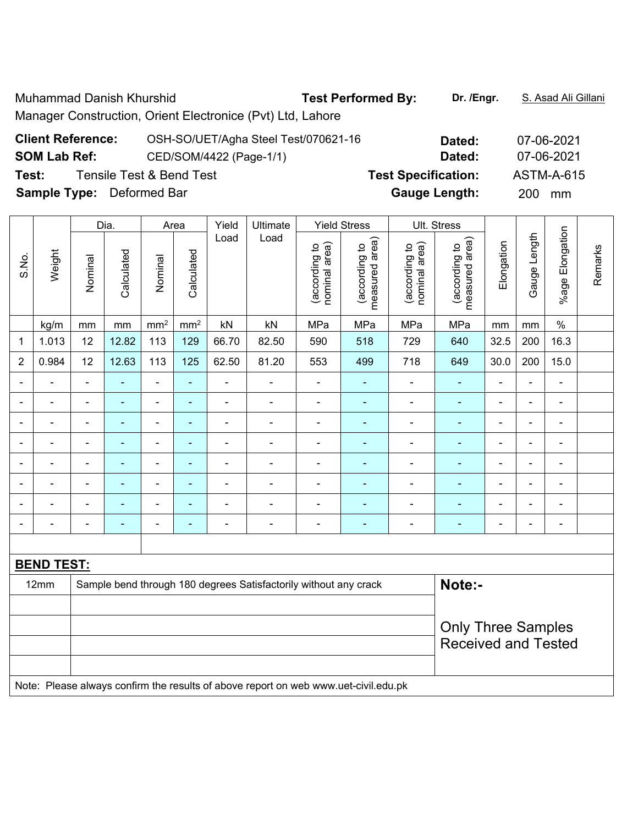Muhammad Danish Khurshid **Test Performed By:** Dr. /Engr. **S. Asad Ali Gillani** Manager Construction, Orient Electronice (Pvt) Ltd, Lahore

| <b>Client Reference:</b>         | OSH-SO/UET/Agha Steel Test/070621-16 | Dated:                     | 07-06-2021 |
|----------------------------------|--------------------------------------|----------------------------|------------|
| <b>SOM Lab Ref:</b>              | CED/SOM/4422 (Page-1/1)              | Dated:                     | 07-06-2021 |
| Test:                            | Tensile Test & Bend Test             | <b>Test Specification:</b> | ASTM-A-615 |
| <b>Sample Type:</b> Deformed Bar |                                      | <b>Gauge Length:</b>       | 200 mm     |

|                |                   |                                                                            | Dia.                     |                          | Area            | Yield          | Ultimate                                                |                                | <b>Yield Stress</b>             |                                | Ult. Stress                        |                |                |                              |         |
|----------------|-------------------|----------------------------------------------------------------------------|--------------------------|--------------------------|-----------------|----------------|---------------------------------------------------------|--------------------------------|---------------------------------|--------------------------------|------------------------------------|----------------|----------------|------------------------------|---------|
| S.No.          | Weight            | Nominal                                                                    | Calculated               | Nominal                  | Calculated      | Load           | Load                                                    | nominal area)<br>(according to | measured area)<br>(according to | (according to<br>nominal area) | area)<br>(according to<br>measured | Elongation     | Gauge Length   | %age Elongation              | Remarks |
|                | kg/m              | mm                                                                         | mm                       | mm <sup>2</sup>          | mm <sup>2</sup> | kN             | kN                                                      | MPa                            | MPa                             | MPa                            | MPa                                | mm             | mm             | $\%$                         |         |
| 1              | 1.013             | 12                                                                         | 12.82                    | 113                      | 129             | 66.70          | 82.50                                                   | 590                            | 518                             | 729                            | 640                                | 32.5           | 200            | 16.3                         |         |
| $\overline{2}$ | 0.984             | 12                                                                         | 12.63                    | 113                      | 125             | 62.50          | 81.20                                                   | 553                            | 499                             | 718                            | 649                                | 30.0           | 200            | 15.0                         |         |
|                |                   | $\blacksquare$                                                             | $\blacksquare$           | $\blacksquare$           | $\blacksquare$  | $\blacksquare$ | $\blacksquare$                                          | $\blacksquare$                 | ÷,                              | $\blacksquare$                 | $\blacksquare$                     | $\blacksquare$ | $\blacksquare$ | $\blacksquare$               |         |
|                |                   | Ē,                                                                         | $\blacksquare$           | $\overline{\phantom{a}}$ | ÷               | $\blacksquare$ | $\blacksquare$                                          | $\blacksquare$                 | ۰                               | ÷,                             | ÷                                  | $\blacksquare$ | $\blacksquare$ | $\qquad \qquad \blacksquare$ |         |
|                |                   | $\blacksquare$                                                             | $\blacksquare$           | $\overline{\phantom{a}}$ | $\blacksquare$  | $\blacksquare$ | $\blacksquare$                                          | $\blacksquare$                 | ۰                               | ۰                              | $\blacksquare$                     | $\blacksquare$ | $\blacksquare$ | $\blacksquare$               |         |
|                |                   | ٠                                                                          | $\blacksquare$           | ÷                        | ÷               | ٠              | Ē,                                                      | ۰                              |                                 |                                |                                    | $\blacksquare$ | $\blacksquare$ | ÷                            |         |
|                |                   | ٠                                                                          | $\blacksquare$           | $\overline{\phantom{a}}$ | ÷               | ٠              | ٠                                                       | $\blacksquare$                 | -                               | $\blacksquare$                 | ٠                                  | $\blacksquare$ | $\blacksquare$ | $\blacksquare$               |         |
|                |                   | $\blacksquare$                                                             | $\blacksquare$           | $\blacksquare$           | $\blacksquare$  |                | $\blacksquare$                                          | $\blacksquare$                 | ۳                               | $\blacksquare$                 | $\blacksquare$                     |                | L              | ۰                            |         |
| $\blacksquare$ |                   | ٠                                                                          | $\overline{\phantom{0}}$ | $\blacksquare$           | ٠               | ٠              | $\qquad \qquad \blacksquare$                            | ۰                              | ۰                               | $\blacksquare$                 | ÷                                  | $\blacksquare$ | $\blacksquare$ | $\qquad \qquad \blacksquare$ |         |
|                |                   | ٠                                                                          | $\overline{\phantom{0}}$ | $\blacksquare$           | $\blacksquare$  | ٠              | $\blacksquare$                                          | $\overline{\phantom{0}}$       | ۰                               | ۰                              | $\blacksquare$                     | $\blacksquare$ | $\blacksquare$ | $\qquad \qquad \blacksquare$ |         |
|                |                   |                                                                            |                          |                          |                 |                |                                                         |                                |                                 |                                |                                    |                |                |                              |         |
|                | <b>BEND TEST:</b> |                                                                            |                          |                          |                 |                |                                                         |                                |                                 |                                |                                    |                |                |                              |         |
|                | 12mm              | Note:-<br>Sample bend through 180 degrees Satisfactorily without any crack |                          |                          |                 |                |                                                         |                                |                                 |                                |                                    |                |                |                              |         |
|                |                   |                                                                            |                          |                          |                 |                |                                                         |                                |                                 |                                |                                    |                |                |                              |         |
|                |                   |                                                                            |                          |                          |                 |                | <b>Only Three Samples</b><br><b>Received and Tested</b> |                                |                                 |                                |                                    |                |                |                              |         |

Note: Please always confirm the results of above report on web www.uet-civil.edu.pk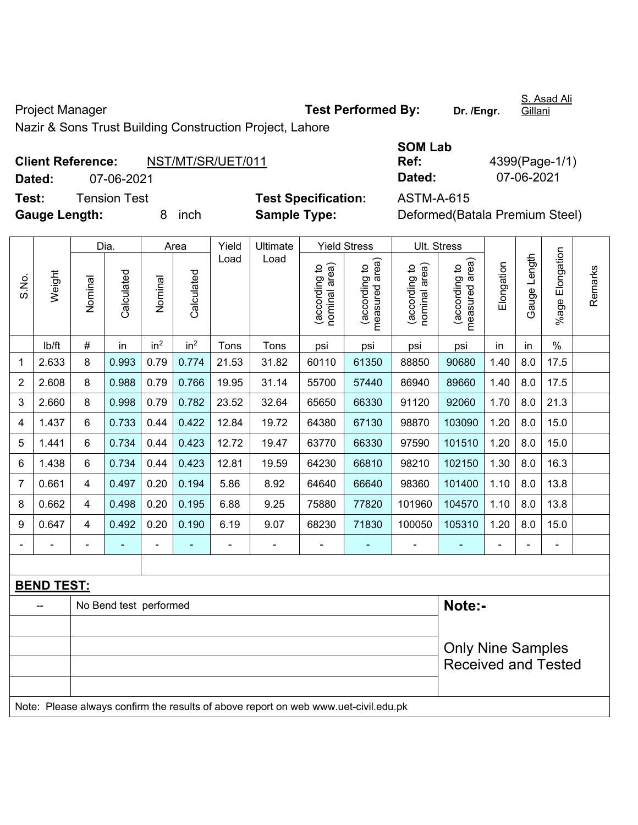Project Manager **Test Performed By:** Dr. /Engr.

S. Asad Ali **Gillani** 

Nazir & Sons Trust Building Construction Project, Lahore

Note: Please always confirm the results of above report on web www.uet-civil.edu.pk

|                      | <b>Client Reference:</b> | NST/MT/SR/UET/011 |                            | Ref:       | 4399(Page-1/                 |
|----------------------|--------------------------|-------------------|----------------------------|------------|------------------------------|
| Dated:               | 07-06-2021               |                   |                            | Dated:     | 07-06-2021                   |
| Test:                | Tension Test             |                   | <b>Test Specification:</b> | ASTM-A-615 |                              |
| <b>Gauge Length:</b> |                          | inch              | <b>Sample Type:</b>        |            | Deformed (Batala Premium Ste |

| SOM Lab |                |
|---------|----------------|
| Ref:    | 4399(Page-1/1) |
| Dated:  | 07-06-2021     |

Only Nine Samples Received and Tested

**Specification:** ASTM-A-615 **ple Type: Deformed(Batala Premium Steel)** 

|                          |                   |                          | Dia.                   |                 | Area            | Yield | Ultimate       |                                | <b>Yield Stress</b>               | Ult. Stress                       |                                   |            |                   |                       |         |
|--------------------------|-------------------|--------------------------|------------------------|-----------------|-----------------|-------|----------------|--------------------------------|-----------------------------------|-----------------------------------|-----------------------------------|------------|-------------------|-----------------------|---------|
| S.No.                    | Weight            | Nominal                  | Calculated             | Nominal         | Calculated      | Load  | Load           | nominal area)<br>(according to | area)<br>according to<br>measured | area)<br>(according to<br>nominal | area)<br>according to<br>measured | Elongation | Length<br>Gauge I | Elongation<br>$%$ age | Remarks |
|                          | lb/ft             | #                        | in                     | in <sup>2</sup> | in <sup>2</sup> | Tons  | Tons           | psi                            | psi                               | psi                               | psi                               | in         | in                | $\%$                  |         |
| 1                        | 2.633             | 8                        | 0.993                  | 0.79            | 0.774           | 21.53 | 31.82          | 60110                          | 61350                             | 88850                             | 90680                             | 1.40       | 8.0               | 17.5                  |         |
| $\overline{c}$           | 2.608             | 8                        | 0.988                  | 0.79            | 0.766           | 19.95 | 31.14          | 55700                          | 57440                             | 86940                             | 89660                             | 1.40       | 8.0               | 17.5                  |         |
| 3                        | 2.660             | 8                        | 0.998                  | 0.79            | 0.782           | 23.52 | 32.64          | 65650                          | 66330                             | 91120                             | 92060                             | 1.70       | 8.0               | 21.3                  |         |
| 4                        | 1.437             | 6                        | 0.733                  | 0.44            | 0.422           | 12.84 | 19.72          | 64380                          | 67130                             | 98870                             | 103090                            | 1.20       | 8.0               | 15.0                  |         |
| 5                        | 1.441             | 6                        | 0.734                  | 0.44            | 0.423           | 12.72 | 19.47          | 63770                          | 66330                             | 97590                             | 101510                            | 1.20       | 8.0               | 15.0                  |         |
| 6                        | 1.438             | 6                        | 0.734                  | 0.44            | 0.423           | 12.81 | 19.59          | 64230                          | 66810                             | 98210                             | 102150                            | 1.30       | 8.0               | 16.3                  |         |
| 7                        | 0.661             | 4                        | 0.497                  | 0.20            | 0.194           | 5.86  | 8.92           | 64640                          | 66640                             | 98360                             | 101400                            | 1.10       | 8.0               | 13.8                  |         |
| 8                        | 0.662             | $\overline{4}$           | 0.498                  | 0.20            | 0.195           | 6.88  | 9.25           | 75880                          | 77820                             | 101960                            | 104570                            | 1.10       | 8.0               | 13.8                  |         |
| 9                        | 0.647             | $\overline{4}$           | 0.492                  | 0.20            | 0.190           | 6.19  | 9.07           | 68230                          | 71830                             | 100050                            | 105310                            | 1.20       | 8.0               | 15.0                  |         |
| $\overline{\phantom{a}}$ | $\overline{a}$    | $\overline{\phantom{0}}$ | $\blacksquare$         | ۰               | ٠               | -     | $\blacksquare$ | $\blacksquare$                 | $\overline{\phantom{a}}$          |                                   | $\blacksquare$                    |            | $\blacksquare$    | ÷                     |         |
|                          |                   |                          |                        |                 |                 |       |                |                                |                                   |                                   |                                   |            |                   |                       |         |
|                          | <b>BEND TEST:</b> |                          |                        |                 |                 |       |                |                                |                                   |                                   |                                   |            |                   |                       |         |
|                          |                   |                          | No Bend test performed |                 |                 |       |                |                                |                                   |                                   | Note:-                            |            |                   |                       |         |
|                          |                   |                          |                        |                 |                 |       |                |                                |                                   |                                   |                                   |            |                   |                       |         |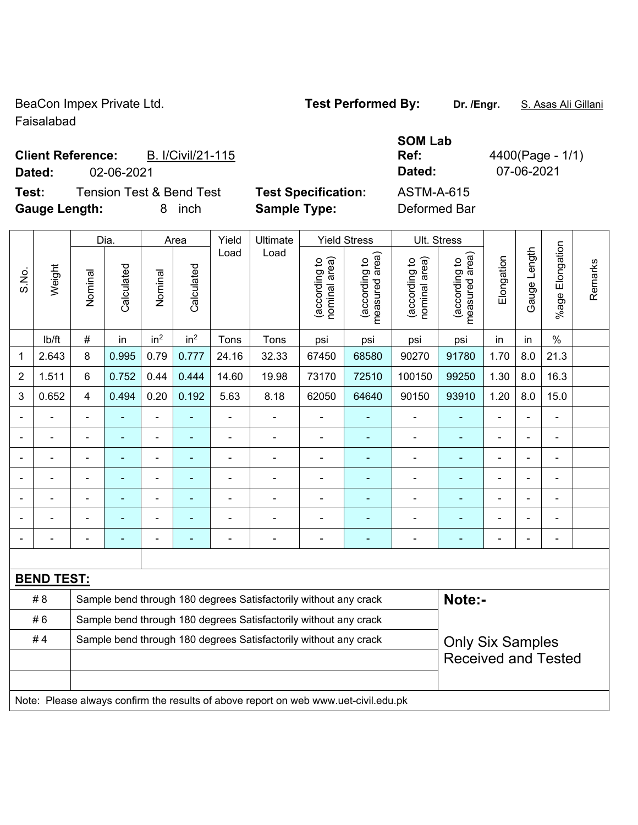BeaCon Impex Private Ltd. **Test Performed By:** Dr. /Engr. S. Asas Ali Gillani

Faisalabad

### Client Reference: **B. I/Civil/21-115 Dated:** 02-06-2021 **Dated:** 07-06-2021

**Test:** Tension Test & Bend Test **Test Specification:** ASTM-A-615 **Gauge Length:** 8 inch **Sample Type:** Deformed Bar

**SOM Lab Ref:** 4400(Page - 1/1)

|                |                                                                                     |                            | Dia.           |                 | Area            | Yield                    | Ultimate                                                         |                                | <b>Yield Stress</b>             |                                | Ult. Stress                     |                          |                |                           |         |
|----------------|-------------------------------------------------------------------------------------|----------------------------|----------------|-----------------|-----------------|--------------------------|------------------------------------------------------------------|--------------------------------|---------------------------------|--------------------------------|---------------------------------|--------------------------|----------------|---------------------------|---------|
| S.No.          | Weight                                                                              | Nominal                    | Calculated     | Nominal         | Calculated      | Load                     | Load                                                             | nominal area)<br>(according to | (according to<br>measured area) | (according to<br>nominal area) | (according to<br>measured area) | Elongation               | Gauge Length   | Elongation<br>$%$ age $ $ | Remarks |
|                | lb/ft                                                                               | $\#$                       | in             | in <sup>2</sup> | in <sup>2</sup> | Tons                     | Tons                                                             | psi                            | psi                             | psi                            | psi                             | in                       | in             | $\frac{0}{0}$             |         |
| 1              | 2.643                                                                               | 8                          | 0.995          | 0.79            | 0.777           | 24.16                    | 32.33                                                            | 67450                          | 68580                           | 90270                          | 91780                           | 1.70                     | 8.0            | 21.3                      |         |
| $\overline{2}$ | 1.511                                                                               | 6                          | 0.752          | 0.44            | 0.444           | 14.60                    | 19.98                                                            | 73170                          | 72510                           | 100150                         | 99250                           | 1.30                     | 8.0            | 16.3                      |         |
| 3              | 0.652                                                                               | 4                          | 0.494          | 0.20            | 0.192           | 5.63                     | 8.18                                                             | 62050                          | 64640                           | 90150                          | 93910                           | 1.20                     | 8.0            | 15.0                      |         |
|                |                                                                                     | ä,                         | ÷,             | ÷,              |                 | $\blacksquare$           | ÷,                                                               | $\blacksquare$                 | $\blacksquare$                  | $\blacksquare$                 | ۰                               | ä,                       | ÷,             | $\blacksquare$            |         |
|                | $\blacksquare$                                                                      | $\blacksquare$             | $\blacksquare$ | $\blacksquare$  | $\blacksquare$  | $\overline{\phantom{a}}$ | ä,                                                               | $\blacksquare$                 | $\blacksquare$                  | $\blacksquare$                 | $\blacksquare$                  | $\blacksquare$           | $\blacksquare$ | ä,                        |         |
|                |                                                                                     | $\blacksquare$             | $\blacksquare$ | $\blacksquare$  | ٠               | ä,                       | ÷                                                                | L,                             | ۰                               | ÷,                             | ÷,                              | $\blacksquare$           |                | ä,                        |         |
|                |                                                                                     |                            | ÷              | ä,              |                 | ä,                       |                                                                  | L,                             | ۰                               | $\blacksquare$                 |                                 |                          |                |                           |         |
|                |                                                                                     |                            |                | ÷               |                 |                          |                                                                  |                                |                                 |                                |                                 |                          |                |                           |         |
|                |                                                                                     |                            | ÷              | ÷               |                 | ä,                       | $\blacksquare$                                                   | ä,                             | ۰                               | $\blacksquare$                 | $\blacksquare$                  |                          |                | $\blacksquare$            |         |
|                |                                                                                     |                            | $\blacksquare$ | ۰               | ٠               | -                        | $\blacksquare$                                                   | $\blacksquare$                 | ۰                               | $\overline{\phantom{a}}$       | $\blacksquare$                  | $\overline{\phantom{0}}$ |                | $\blacksquare$            |         |
|                |                                                                                     |                            |                |                 |                 |                          |                                                                  |                                |                                 |                                |                                 |                          |                |                           |         |
|                | <b>BEND TEST:</b>                                                                   |                            |                |                 |                 |                          |                                                                  |                                |                                 |                                |                                 |                          |                |                           |         |
|                | # 8                                                                                 |                            |                |                 |                 |                          | Sample bend through 180 degrees Satisfactorily without any crack |                                |                                 |                                | Note:-                          |                          |                |                           |         |
|                | #6                                                                                  |                            |                |                 |                 |                          | Sample bend through 180 degrees Satisfactorily without any crack |                                |                                 |                                |                                 |                          |                |                           |         |
|                | #4                                                                                  |                            |                |                 |                 |                          | Sample bend through 180 degrees Satisfactorily without any crack |                                |                                 |                                | <b>Only Six Samples</b>         |                          |                |                           |         |
|                |                                                                                     | <b>Received and Tested</b> |                |                 |                 |                          |                                                                  |                                |                                 |                                |                                 |                          |                |                           |         |
|                |                                                                                     |                            |                |                 |                 |                          |                                                                  |                                |                                 |                                |                                 |                          |                |                           |         |
|                | Note: Please always confirm the results of above report on web www.uet-civil.edu.pk |                            |                |                 |                 |                          |                                                                  |                                |                                 |                                |                                 |                          |                |                           |         |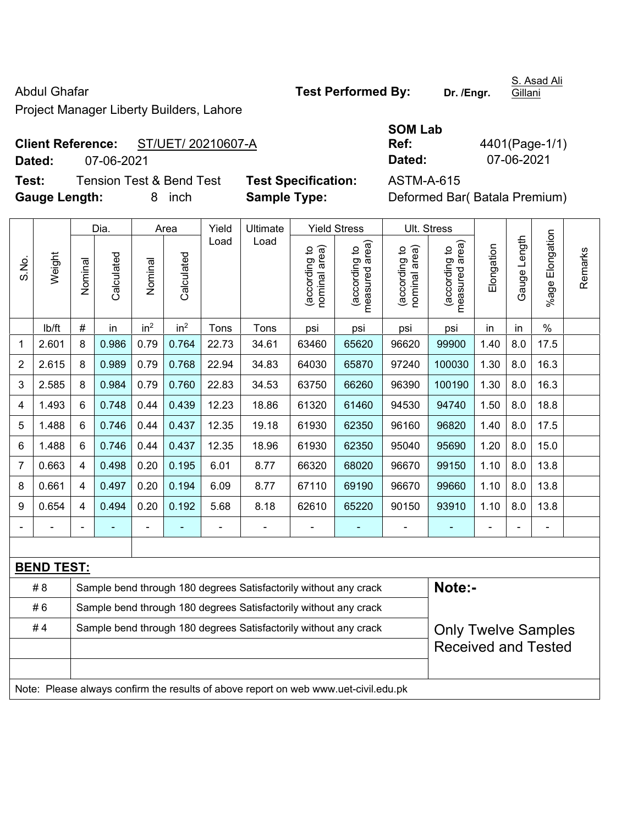Project Manager Liberty Builders, Lahore

## Abdul Ghafar **Test Performed By:** Dr. /Engr.

S. Asad Ali **Gillani** 

## **Client Reference:** ST/UET/ 20210607-A

**Dated:** 07-06-2021 **Dated:** 07-06-2021

**Test:** Tension Test & Bend Test **Test Specification:** ASTM-A-615 **Gauge Length:** 8 inch **Sample Type:** Deformed Bar( Batala Premium)

**Ref:** 4401(Page-1/1)

|                         |                   |                                                                  | Dia.       |                 | Area            | Yield | Ultimate                                                                            |                                | <b>Yield Stress</b>             |                                | Ult. Stress                     |            |              |                 |         |
|-------------------------|-------------------|------------------------------------------------------------------|------------|-----------------|-----------------|-------|-------------------------------------------------------------------------------------|--------------------------------|---------------------------------|--------------------------------|---------------------------------|------------|--------------|-----------------|---------|
| S.No.                   | Weight            | Nominal                                                          | Calculated | Nominal         | Calculated      | Load  | Load                                                                                | nominal area)<br>(according to | measured area)<br>(according to | nominal area)<br>(according to | (according to<br>measured area) | Elongation | Gauge Length | %age Elongation | Remarks |
|                         | lb/ft             | $\#$                                                             | in         | in <sup>2</sup> | in <sup>2</sup> | Tons  | Tons                                                                                | psi                            | psi                             | psi                            | psi                             | in         | in           | $\%$            |         |
| $\mathbf 1$             | 2.601             | 8                                                                | 0.986      | 0.79            | 0.764           | 22.73 | 34.61                                                                               | 63460                          | 65620                           | 96620                          | 99900                           | 1.40       | 8.0          | 17.5            |         |
| $\boldsymbol{2}$        | 2.615             | 8                                                                | 0.989      | 0.79            | 0.768           | 22.94 | 34.83                                                                               | 64030                          | 65870                           | 97240                          | 100030                          | 1.30       | 8.0          | 16.3            |         |
| $\sqrt{3}$              | 2.585             | 8                                                                | 0.984      | 0.79            | 0.760           | 22.83 | 34.53                                                                               | 63750                          | 66260                           | 96390                          | 100190                          | 1.30       | 8.0          | 16.3            |         |
| $\overline{\mathbf{4}}$ | 1.493             | 6                                                                | 0.748      | 0.44            | 0.439           | 12.23 | 18.86                                                                               | 61320                          | 61460                           | 94530                          | 94740                           | 1.50       | 8.0          | 18.8            |         |
| 5                       | 1.488             | 6                                                                | 0.746      | 0.44            | 0.437           | 12.35 | 19.18                                                                               | 61930                          | 62350                           | 96160                          | 96820                           | 1.40       | 8.0          | 17.5            |         |
| 6                       | 1.488             | 6                                                                | 0.746      | 0.44            | 0.437           | 12.35 | 18.96                                                                               | 61930                          | 62350                           | 95040                          | 95690                           | 1.20       | 8.0          | 15.0            |         |
| $\overline{7}$          | 0.663             | 4                                                                | 0.498      | 0.20            | 0.195           | 6.01  | 8.77                                                                                | 66320                          | 68020                           | 96670                          | 99150                           | 1.10       | 8.0          | 13.8            |         |
| 8                       | 0.661             | 4                                                                | 0.497      | 0.20            | 0.194           | 6.09  | 8.77                                                                                | 67110                          | 69190                           | 96670                          | 99660                           | 1.10       | 8.0          | 13.8            |         |
| $\boldsymbol{9}$        | 0.654             | 4                                                                | 0.494      | 0.20            | 0.192           | 5.68  | 8.18                                                                                | 62610                          | 65220                           | 90150                          | 93910                           | 1.10       | 8.0          | 13.8            |         |
|                         |                   |                                                                  |            |                 |                 |       |                                                                                     |                                |                                 |                                |                                 |            |              |                 |         |
|                         |                   |                                                                  |            |                 |                 |       |                                                                                     |                                |                                 |                                |                                 |            |              |                 |         |
|                         | <b>BEND TEST:</b> |                                                                  |            |                 |                 |       |                                                                                     |                                |                                 |                                |                                 |            |              |                 |         |
|                         | # 8               |                                                                  |            |                 |                 |       | Sample bend through 180 degrees Satisfactorily without any crack                    |                                |                                 |                                | Note:-                          |            |              |                 |         |
|                         | #6                | Sample bend through 180 degrees Satisfactorily without any crack |            |                 |                 |       |                                                                                     |                                |                                 |                                |                                 |            |              |                 |         |
|                         | #4                |                                                                  |            |                 |                 |       | Sample bend through 180 degrees Satisfactorily without any crack                    |                                |                                 |                                | <b>Only Twelve Samples</b>      |            |              |                 |         |
|                         |                   |                                                                  |            |                 |                 |       |                                                                                     |                                |                                 |                                | <b>Received and Tested</b>      |            |              |                 |         |
|                         |                   |                                                                  |            |                 |                 |       |                                                                                     |                                |                                 |                                |                                 |            |              |                 |         |
|                         |                   |                                                                  |            |                 |                 |       | Note: Please always confirm the results of above report on web www.uet-civil.edu.pk |                                |                                 |                                |                                 |            |              |                 |         |

**SOM Lab**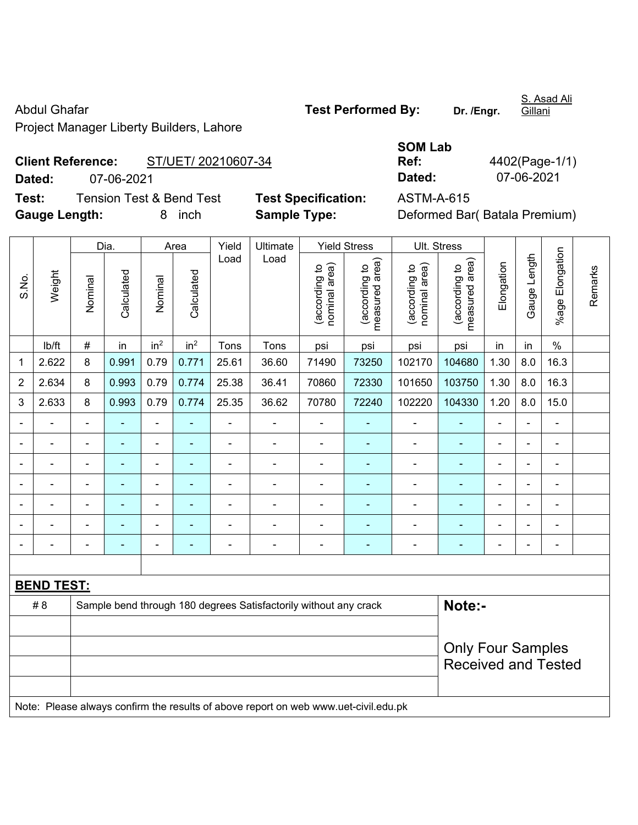Project Manager Liberty Builders, Lahore

**Client Reference:** ST/UET/ 20210607-34 **Dated:** 07-06-2021 **Dated:** 07-06-2021

| Test: | <b>Gauge Length:</b> |         | <b>Tension Test &amp; Bend Test</b> | 8       | inch               |               | <b>Sample Type:</b> | <b>Test Specification:</b>             |                                                                  | <b>ASTM-A-615</b>                                                           |                                  |            | Deformed Bar(Batala Premium)<br>ength |                       |
|-------|----------------------|---------|-------------------------------------|---------|--------------------|---------------|---------------------|----------------------------------------|------------------------------------------------------------------|-----------------------------------------------------------------------------|----------------------------------|------------|---------------------------------------|-----------------------|
| S.No. | Weight               | Nominal | Dia.<br>Calculated                  | Nominal | Area<br>Calculated | Yield<br>Load | Ultimate<br>Load    | ea)<br>ೆ<br>ರಾ<br>ౚ<br>०<br>ಹ<br>nomin | <b>Yield Stress</b><br>rea)<br><u>ي</u><br>ත<br>ω<br>ਹ<br>p<br>Φ | Ult. Stress<br>ea)<br>$\overline{\mathsf{c}}$<br>(according<br>ল<br>nominal | area)<br>ೆ<br>(according<br>ured | Elongation | Gauge                                 | Elongation<br>$%$ age |
|       |                      |         |                                     |         |                    |               |                     | ୍ଷ<br>ଜ                                | eası<br>ි<br>ල                                                   |                                                                             | eas                              |            |                                       |                       |

|                |                   |         | Dia.           |                 | Area            | Yield          | Ultimate                                                         |                                | <b>Yield Stress</b>                | Ult. Stress                    |                                 |                |                              |                          |         |
|----------------|-------------------|---------|----------------|-----------------|-----------------|----------------|------------------------------------------------------------------|--------------------------------|------------------------------------|--------------------------------|---------------------------------|----------------|------------------------------|--------------------------|---------|
| S.No.          | Weight            | Nominal | Calculated     | Nominal         | Calculated      | Load           | Load                                                             | nominal area)<br>(according to | area)<br>(according to<br>measured | (according to<br>nominal area) | measured area)<br>(according to | Elongation     | Length<br>Gauge <sup>1</sup> | Elongation<br>$%$ age    | Remarks |
|                | lb/ft             | $\#$    | in             | in <sup>2</sup> | in <sup>2</sup> | Tons           | Tons                                                             | psi                            | psi                                | psi                            | psi                             | in             | in                           | $\%$                     |         |
| 1              | 2.622             | 8       | 0.991          | 0.79            | 0.771           | 25.61          | 36.60                                                            | 71490                          | 73250                              | 102170                         | 104680                          | 1.30           | 8.0                          | 16.3                     |         |
| $\overline{2}$ | 2.634             | 8       | 0.993          | 0.79            | 0.774           | 25.38          | 36.41                                                            | 70860                          | 72330                              | 101650                         | 103750                          | 1.30           | 8.0                          | 16.3                     |         |
| $\mathfrak{S}$ | 2.633             | 8       | 0.993          | 0.79            | 0.774           | 25.35          | 36.62                                                            | 70780                          | 72240                              | 102220                         | 104330                          | 1.20           | $8.0\,$                      | 15.0                     |         |
|                |                   |         |                | $\blacksquare$  | ۰               | $\blacksquare$ |                                                                  | $\overline{\phantom{0}}$       | $\blacksquare$                     | $\blacksquare$                 | ٠                               |                |                              | $\blacksquare$           |         |
|                |                   |         | $\blacksquare$ |                 | $\blacksquare$  |                |                                                                  | $\overline{\phantom{0}}$       | -                                  | $\blacksquare$                 | $\blacksquare$                  | $\blacksquare$ | $\blacksquare$               | ۰                        |         |
|                |                   |         |                |                 |                 |                |                                                                  |                                |                                    |                                | ٠                               |                | $\blacksquare$               | ۰                        |         |
|                |                   |         |                |                 |                 |                |                                                                  |                                | ۰                                  |                                | ٠                               |                |                              |                          |         |
|                |                   |         |                |                 |                 |                |                                                                  |                                |                                    |                                |                                 |                | ٠                            | ۰                        |         |
|                |                   |         |                |                 |                 |                |                                                                  |                                | ÷                                  |                                |                                 |                |                              |                          |         |
|                |                   |         |                | ۰               |                 |                |                                                                  | $\overline{\phantom{0}}$       | ÷                                  | ٠                              | $\overline{\phantom{0}}$        | ۰              | $\blacksquare$               | $\overline{\phantom{0}}$ |         |
|                |                   |         |                |                 |                 |                |                                                                  |                                |                                    |                                |                                 |                |                              |                          |         |
|                | <b>BEND TEST:</b> |         |                |                 |                 |                |                                                                  |                                |                                    |                                |                                 |                |                              |                          |         |
|                | # 8               |         |                |                 |                 |                | Sample bend through 180 degrees Satisfactorily without any crack |                                |                                    |                                | Note:-                          |                |                              |                          |         |
|                |                   |         |                |                 |                 |                | <b>Only Four Samples</b>                                         |                                |                                    |                                |                                 |                |                              |                          |         |

Note: Please always confirm the results of above report on web www.uet-civil.edu.pk

**SOM Lab Ref:** 4402(Page-1/1)

Received and Tested

S. Asad Ali **Gillani** 

Abdul Ghafar **Test Performed By:** Dr. /Engr.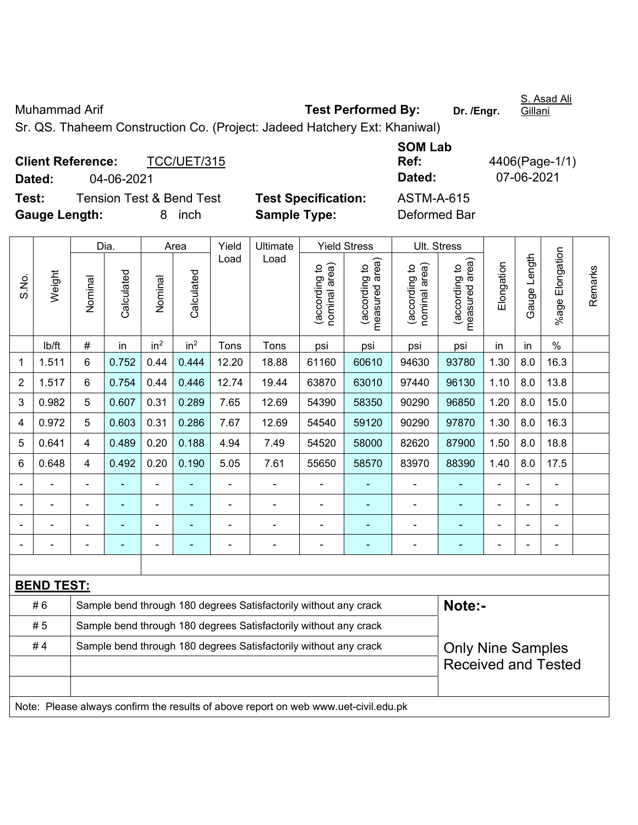| Muhammad Arif                                                             | <b>Test Performed By:</b> | Dr. /Engr. | S. Asad Ali<br><u>Gillani</u> |
|---------------------------------------------------------------------------|---------------------------|------------|-------------------------------|
| Sr. QS. Thaheem Construction Co. (Project: Jadeed Hatchery Ext: Khaniwal) |                           |            |                               |
|                                                                           | $OMI-L$                   |            |                               |

|                      | <b>Client Reference:</b> | TCC/UET/315                         |                            | Ref:         |
|----------------------|--------------------------|-------------------------------------|----------------------------|--------------|
| Dated:               | 04-06-2021               |                                     |                            | Dated:       |
| Test:                |                          | <b>Tension Test &amp; Bend Test</b> | <b>Test Specification:</b> | ASTM-A-615   |
| <b>Gauge Length:</b> |                          | inch<br>8.                          | <b>Sample Type:</b>        | Deformed Bar |

**SOM Lab Ref:** 4406(Page-1/1) **Dated:** 04-06-2021 **Dated:** 07-06-2021

|                |                   |                | Dia.                                                                                              |                 | Area            | Yield | Ultimate                                                                            |                                | <b>Yield Stress</b>             | <b>Ult. Stress</b>             |                                             |            |              |                 |         |
|----------------|-------------------|----------------|---------------------------------------------------------------------------------------------------|-----------------|-----------------|-------|-------------------------------------------------------------------------------------|--------------------------------|---------------------------------|--------------------------------|---------------------------------------------|------------|--------------|-----------------|---------|
| S.No.          | Weight            | Nominal        | Calculated                                                                                        | Nominal         | Calculated      | Load  | Load                                                                                | nominal area)<br>(according to | measured area)<br>(according to | nominal area)<br>(according to | (according to<br>neasured area)<br>measured | Elongation | Gauge Length | %age Elongation | Remarks |
|                | lb/ft             | $\#$           | in                                                                                                | in <sup>2</sup> | in <sup>2</sup> | Tons  | Tons                                                                                | psi                            | psi                             | psi                            | psi                                         | in         | in           | $\%$            |         |
| 1              | 1.511             | 6              | 0.752                                                                                             | 0.44            | 0.444           | 12.20 | 18.88                                                                               | 61160                          | 60610                           | 94630                          | 93780                                       | 1.30       | 8.0          | 16.3            |         |
| $\overline{2}$ | 1.517             | 6              | 0.754                                                                                             | 0.44            | 0.446           | 12.74 | 19.44                                                                               | 63870                          | 63010                           | 97440                          | 96130                                       | 1.10       | 8.0          | 13.8            |         |
| 3              | 0.982             | 5              | 0.607                                                                                             | 0.31            | 0.289           | 7.65  | 12.69                                                                               | 54390                          | 58350                           | 90290                          | 96850                                       | 1.20       | 8.0          | 15.0            |         |
| 4              | 0.972             | 5              | 0.603                                                                                             | 0.31            | 0.286           | 7.67  | 12.69                                                                               | 54540                          | 59120                           | 90290                          | 97870                                       | 1.30       | 8.0          | 16.3            |         |
| 5              | 0.641             | 4              | 0.489                                                                                             | 0.20            | 0.188           | 4.94  | 7.49                                                                                | 54520                          | 58000                           | 82620                          | 87900                                       | 1.50       | 8.0          | 18.8            |         |
| 6              | 0.648             | 4              | 1.40<br>0.492<br>0.20<br>0.190<br>5.05<br>7.61<br>83970<br>88390<br>8.0<br>17.5<br>55650<br>58570 |                 |                 |       |                                                                                     |                                |                                 |                                |                                             |            |              |                 |         |
|                |                   | $\overline{a}$ |                                                                                                   |                 |                 |       | ÷.                                                                                  | $\blacksquare$                 |                                 | $\blacksquare$                 |                                             |            |              |                 |         |
|                |                   |                |                                                                                                   |                 |                 |       |                                                                                     |                                |                                 |                                |                                             |            |              |                 |         |
|                |                   |                |                                                                                                   |                 |                 |       |                                                                                     |                                |                                 |                                |                                             |            |              |                 |         |
|                |                   |                |                                                                                                   |                 |                 |       |                                                                                     |                                | ÷                               |                                | $\blacksquare$                              |            |              |                 |         |
|                |                   |                |                                                                                                   |                 |                 |       |                                                                                     |                                |                                 |                                |                                             |            |              |                 |         |
|                | <b>BEND TEST:</b> |                |                                                                                                   |                 |                 |       |                                                                                     |                                |                                 |                                |                                             |            |              |                 |         |
|                | #6                |                |                                                                                                   |                 |                 |       | Sample bend through 180 degrees Satisfactorily without any crack                    |                                |                                 |                                | Note:-                                      |            |              |                 |         |
|                | #5                |                |                                                                                                   |                 |                 |       | Sample bend through 180 degrees Satisfactorily without any crack                    |                                |                                 |                                |                                             |            |              |                 |         |
|                | #4                |                |                                                                                                   |                 |                 |       | Sample bend through 180 degrees Satisfactorily without any crack                    |                                |                                 |                                | <b>Only Nine Samples</b>                    |            |              |                 |         |
|                |                   |                |                                                                                                   |                 |                 |       |                                                                                     |                                |                                 |                                | <b>Received and Tested</b>                  |            |              |                 |         |
|                |                   |                |                                                                                                   |                 |                 |       | Note: Please always confirm the results of above report on web www.uet-civil.edu.pk |                                |                                 |                                |                                             |            |              |                 |         |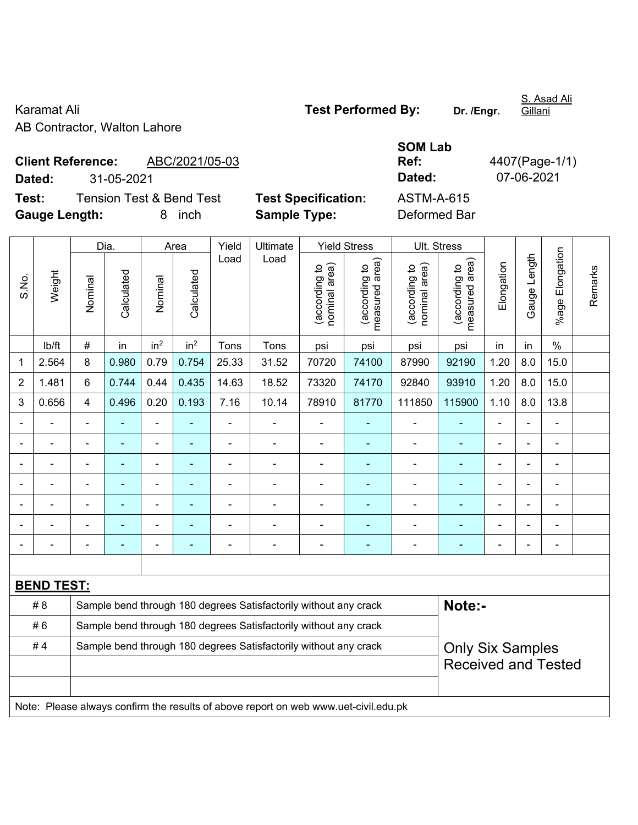Karamat Ali **Test Performed By:** Dr. /Engr. AB Contractor, Walton Lahore

S. Asad Ali **Gillani** 

**Client Reference:** ABC/2021/05-03

**SOM Lab Ref:** 4407(Page-1/1) **Dated:** 31-05-2021 **Dated:** 07-06-2021

**Test:** Tension Test & Bend Test **Test Specification:** ASTM-A-615 **Gauge Length:** 8 inch **Sample Type:** Deformed Bar

|                |                   |                                                                  | Dia.           |                          | Area            | Yield<br>Load  | Ultimate                                                                            |                                | <b>Yield Stress</b>             |                                | Ult. Stress                     |                |              |                          |         |
|----------------|-------------------|------------------------------------------------------------------|----------------|--------------------------|-----------------|----------------|-------------------------------------------------------------------------------------|--------------------------------|---------------------------------|--------------------------------|---------------------------------|----------------|--------------|--------------------------|---------|
| S.No.          | Weight            | Nominal                                                          | Calculated     | Nominal                  | Calculated      |                | Load                                                                                | nominal area)<br>(according to | (according to<br>measured area) | nominal area)<br>(according to | (according to<br>measured area) | Elongation     | Gauge Length | Elongation<br>$%$ age    | Remarks |
|                | lb/ft             | $\#$                                                             | in             | in <sup>2</sup>          | in <sup>2</sup> | Tons           | Tons                                                                                | psi                            | psi                             | psi                            | psi                             | in             | in           | $\%$                     |         |
| 1              | 2.564             | 8                                                                | 0.980          | 0.79                     | 0.754           | 25.33          | 31.52                                                                               | 70720                          | 74100                           | 87990                          | 92190                           | 1.20           | 8.0          | 15.0                     |         |
| $\overline{2}$ | 1.481             | 6                                                                | 0.744          | 0.44                     | 0.435           | 14.63          | 18.52                                                                               | 73320                          | 74170                           | 92840                          | 93910                           | 1.20           | 8.0          | 15.0                     |         |
| 3              | 0.656             | $\overline{\mathbf{4}}$                                          | 0.496          | 0.20                     | 0.193           | 7.16           | 10.14                                                                               | 78910                          | 81770                           | 111850                         | 115900                          | 1.10           | 8.0          | 13.8                     |         |
|                |                   | $\blacksquare$                                                   | ÷,             | $\overline{\phantom{a}}$ |                 | $\overline{a}$ | ÷,                                                                                  | $\blacksquare$                 | $\blacksquare$                  | $\overline{\phantom{a}}$       | $\blacksquare$                  | ä,             |              | $\overline{\phantom{a}}$ |         |
|                | $\overline{a}$    | $\blacksquare$                                                   | ÷,             | $\blacksquare$           | $\blacksquare$  | $\blacksquare$ | $\blacksquare$                                                                      | $\blacksquare$                 | ÷                               | $\overline{\phantom{a}}$       | $\blacksquare$                  | $\blacksquare$ |              | ÷,                       |         |
|                |                   |                                                                  | $\blacksquare$ | $\blacksquare$           |                 |                | $\blacksquare$                                                                      | $\blacksquare$                 | ۰                               |                                |                                 |                |              |                          |         |
|                |                   |                                                                  |                |                          |                 |                | $\blacksquare$                                                                      | $\blacksquare$                 | ۰                               | $\overline{a}$                 |                                 |                |              |                          |         |
| $\blacksquare$ |                   | $\blacksquare$                                                   | ÷              | ÷,                       | ÷               | $\blacksquare$ | $\blacksquare$                                                                      | $\blacksquare$                 | $\blacksquare$                  | ÷,                             | $\blacksquare$                  | L,             | ä,           | ÷                        |         |
|                |                   |                                                                  | ÷              | $\blacksquare$           |                 |                | $\overline{a}$                                                                      | $\blacksquare$                 | $\blacksquare$                  | $\blacksquare$                 | $\overline{\phantom{a}}$        |                |              | ÷                        |         |
|                |                   | $\blacksquare$                                                   | ÷              | $\blacksquare$           | ÷               |                | $\blacksquare$                                                                      | $\blacksquare$                 | $\blacksquare$                  | $\overline{a}$                 | $\blacksquare$                  | L,             |              | $\blacksquare$           |         |
|                |                   |                                                                  |                |                          |                 |                |                                                                                     |                                |                                 |                                |                                 |                |              |                          |         |
|                | <b>BEND TEST:</b> |                                                                  |                |                          |                 |                |                                                                                     |                                |                                 |                                |                                 |                |              |                          |         |
|                | # 8               |                                                                  |                |                          |                 |                | Sample bend through 180 degrees Satisfactorily without any crack                    |                                |                                 |                                | Note:-                          |                |              |                          |         |
|                | #6                | Sample bend through 180 degrees Satisfactorily without any crack |                |                          |                 |                |                                                                                     |                                |                                 |                                |                                 |                |              |                          |         |
|                | #4                |                                                                  |                |                          |                 |                | Sample bend through 180 degrees Satisfactorily without any crack                    |                                |                                 |                                | <b>Only Six Samples</b>         |                |              |                          |         |
|                |                   |                                                                  |                |                          |                 |                |                                                                                     |                                |                                 |                                | <b>Received and Tested</b>      |                |              |                          |         |
|                |                   |                                                                  |                |                          |                 |                |                                                                                     |                                |                                 |                                |                                 |                |              |                          |         |
|                |                   |                                                                  |                |                          |                 |                | Note: Please always confirm the results of above report on web www.uet-civil.edu.pk |                                |                                 |                                |                                 |                |              |                          |         |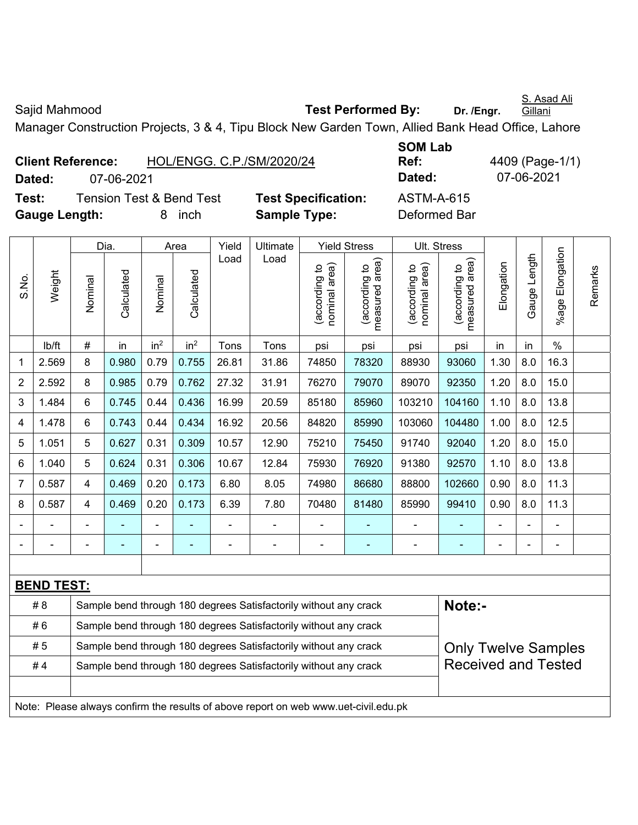S. Asad Ali

Sajid Mahmood **Test Performed By:** Dr. /Engr.

**Gillani** 

Manager Construction Projects, 3 & 4, Tipu Block New Garden Town, Allied Bank Head Office, Lahore

| <b>Client Reference:</b> |            | HOL/ENGG. C.P./SM/2020/24           |                           |
|--------------------------|------------|-------------------------------------|---------------------------|
| Dated:                   | 07-06-2021 |                                     |                           |
| Test:                    |            | <b>Tension Test &amp; Bend Test</b> | <b>Test Specification</b> |
| <b>Gauge Length:</b>     |            | 8 inch                              | <b>Sample Type:</b>       |

**SOM Lab Ref:** 4409 (Page-1/1) **Dated:** 07-06-2021 **Dated:** 07-06-2021 **n:** ASTM-A-615 **Deformed Bar** 

|                |                   |                | Dia.                     |                                                                                            | Area                                                                                | Yield          | Ultimate                                                         |                                | <b>Yield Stress</b>             |                                | Ult. Stress                                 |                |              |                      |         |
|----------------|-------------------|----------------|--------------------------|--------------------------------------------------------------------------------------------|-------------------------------------------------------------------------------------|----------------|------------------------------------------------------------------|--------------------------------|---------------------------------|--------------------------------|---------------------------------------------|----------------|--------------|----------------------|---------|
| S.No.          | Weight            | Nominal        | Calculated               | Nominal                                                                                    | Calculated                                                                          | Load           | Load                                                             | nominal area)<br>(according to | (according to<br>measured area) | nominal area)<br>(according to | (according to<br>measured area)<br>measured | Elongation     | Gauge Length | Elongation<br>%age l | Remarks |
|                | lb/ft             | $\#$           | in                       | in <sup>2</sup>                                                                            | in <sup>2</sup>                                                                     | Tons           | Tons                                                             | psi                            | psi                             | psi                            | psi                                         | in             | in           | $\%$                 |         |
| 1              | 2.569             | 8              | 0.980                    | 0.79                                                                                       | 0.755                                                                               | 26.81          | 31.86                                                            | 74850                          | 78320                           | 88930                          | 93060                                       | 1.30           | 8.0          | 16.3                 |         |
| $\overline{2}$ | 2.592             | 8              | 0.985                    | 0.79                                                                                       | 0.762                                                                               | 27.32          | 31.91                                                            | 76270                          | 79070                           | 89070                          | 92350                                       | 1.20           | 8.0          | 15.0                 |         |
| 3              | 1.484             | 6              | 0.745                    | 0.44                                                                                       | 0.436                                                                               | 16.99          | 20.59                                                            | 85180                          | 85960                           | 103210                         | 104160                                      | 1.10           | 8.0          | 13.8                 |         |
| 4              | 1.478             | 6              | 0.743                    | 0.44                                                                                       | 0.434                                                                               | 16.92          | 20.56                                                            | 84820                          | 85990                           | 103060                         | 104480                                      | 1.00           | 8.0          | 12.5                 |         |
| 5              | 1.051             | 5              | 0.627                    | 0.31                                                                                       | 0.309                                                                               | 10.57          | 12.90                                                            | 75210                          | 75450                           | 91740                          | 92040                                       | 1.20           | 8.0          | 15.0                 |         |
| 6              | 1.040             | 5              | 0.624                    | 0.306<br>10.67<br>1.10<br>13.8<br>0.31<br>12.84<br>75930<br>76920<br>91380<br>92570<br>8.0 |                                                                                     |                |                                                                  |                                |                                 |                                |                                             |                |              |                      |         |
| $\overline{7}$ | 0.587             | $\overline{4}$ | 0.469                    | 0.20                                                                                       | 0.173                                                                               | 6.80           | 8.05                                                             | 74980                          | 86680                           | 88800                          | 102660                                      | 0.90           | 8.0          | 11.3                 |         |
| 8              | 0.587             | $\overline{4}$ | 0.469                    | 0.20                                                                                       | 0.173                                                                               | 6.39           | 7.80                                                             | 70480                          | 81480                           | 85990                          | 99410                                       | 0.90           | 8.0          | 11.3                 |         |
| $\blacksquare$ |                   | $\blacksquare$ |                          |                                                                                            |                                                                                     | $\blacksquare$ | ÷,                                                               | $\blacksquare$                 |                                 | $\blacksquare$                 | $\qquad \qquad \blacksquare$                |                |              | $\blacksquare$       |         |
| $\blacksquare$ | $\blacksquare$    | $\blacksquare$ | $\overline{\phantom{0}}$ | ÷                                                                                          | $\blacksquare$                                                                      | $\blacksquare$ | $\overline{\phantom{a}}$                                         | $\blacksquare$                 | $\blacksquare$                  | $\blacksquare$                 | ÷                                           | $\blacksquare$ |              | $\blacksquare$       |         |
|                |                   |                |                          |                                                                                            |                                                                                     |                |                                                                  |                                |                                 |                                |                                             |                |              |                      |         |
|                | <b>BEND TEST:</b> |                |                          |                                                                                            |                                                                                     |                |                                                                  |                                |                                 |                                |                                             |                |              |                      |         |
|                | # 8               |                |                          |                                                                                            |                                                                                     |                | Sample bend through 180 degrees Satisfactorily without any crack |                                |                                 |                                | Note:-                                      |                |              |                      |         |
|                | #6                |                |                          |                                                                                            |                                                                                     |                | Sample bend through 180 degrees Satisfactorily without any crack |                                |                                 |                                |                                             |                |              |                      |         |
|                | # 5               |                |                          |                                                                                            |                                                                                     |                | Sample bend through 180 degrees Satisfactorily without any crack |                                |                                 |                                | <b>Only Twelve Samples</b>                  |                |              |                      |         |
|                | #4                |                |                          |                                                                                            |                                                                                     |                | Sample bend through 180 degrees Satisfactorily without any crack |                                |                                 |                                | <b>Received and Tested</b>                  |                |              |                      |         |
|                |                   |                |                          |                                                                                            |                                                                                     |                |                                                                  |                                |                                 |                                |                                             |                |              |                      |         |
|                |                   |                |                          |                                                                                            | Note: Please always confirm the results of above report on web www.uet-civil.edu.pk |                |                                                                  |                                |                                 |                                |                                             |                |              |                      |         |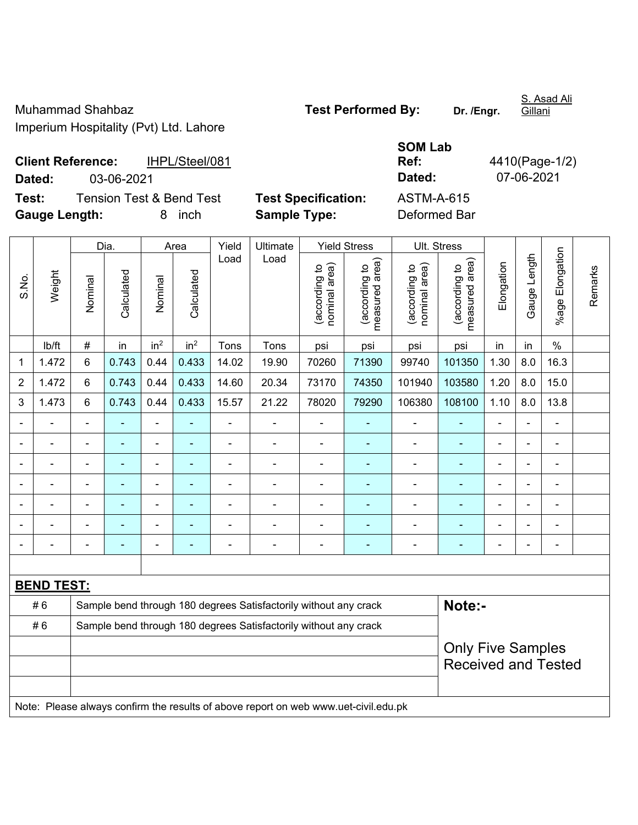Muhammad Shahbaz **Test Performed By:** Dr. /Engr. Imperium Hospitality (Pvt) Ltd. Lahore

**SOM Lab** 

Gillani

**Client Reference:** IHPL/Steel/081 **Dated:** 03-06-2021 **Dated:** 07-06-2021

|                  | <b>Date</b> |
|------------------|-------------|
| t Specification: | AST         |
|                  | n.c.        |

**Ref:** 4410(Page-1/2)

**Test:** Tension Test & Bend Test **Test Specification:** ASTM-A-615 **Gauge Length:** 8 inch **Sample Type:** Deformed Bar

|       |                   | Dia.                                                             |                | Area                     | Yield                                                                               | Ultimate       |                                                                                     | <b>Yield Stress</b>            | Ult. Stress                     |                                |                                 |                |                |                 |         |
|-------|-------------------|------------------------------------------------------------------|----------------|--------------------------|-------------------------------------------------------------------------------------|----------------|-------------------------------------------------------------------------------------|--------------------------------|---------------------------------|--------------------------------|---------------------------------|----------------|----------------|-----------------|---------|
| S.No. | Weight            | Nominal                                                          | Calculated     | Nominal                  | Calculated                                                                          | Load           | Load                                                                                | (according to<br>nominal area) | measured area)<br>(according to | nominal area)<br>(according to | (according to<br>measured area) | Elongation     | Gauge Length   | %age Elongation | Remarks |
|       | lb/ft             | $\#$                                                             | in             | in <sup>2</sup>          | in <sup>2</sup>                                                                     | Tons           | Tons                                                                                | psi                            | psi                             | psi                            | psi                             | in             | in             | $\%$            |         |
| 1     | 1.472             | 6                                                                | 0.743          | 0.44                     | 0.433                                                                               | 14.02          | 19.90                                                                               | 70260                          | 71390                           | 99740                          | 101350                          | 1.30           | 8.0            | 16.3            |         |
| 2     | 1.472             | 6                                                                | 0.743          | 0.44                     | 0.433                                                                               | 14.60          | 20.34                                                                               | 73170                          | 74350                           | 101940                         | 103580                          | 1.20           | 8.0            | 15.0            |         |
| 3     | 1.473             | 6                                                                | 0.743          | 0.44                     | 0.433                                                                               | 15.57          | 21.22                                                                               | 78020                          | 79290                           | 106380                         | 108100                          | 1.10           | 8.0            | 13.8            |         |
|       |                   |                                                                  |                | $\blacksquare$           |                                                                                     | L,             |                                                                                     |                                |                                 |                                |                                 | ä,             |                | ä,              |         |
|       |                   |                                                                  |                |                          |                                                                                     |                |                                                                                     |                                |                                 |                                |                                 |                |                | $\blacksquare$  |         |
|       |                   |                                                                  |                | ÷                        | $\blacksquare$<br>$\blacksquare$<br>$\overline{\phantom{a}}$<br>٠<br>$\blacksquare$ |                |                                                                                     |                                |                                 |                                |                                 |                |                |                 |         |
|       |                   | $\blacksquare$                                                   | $\blacksquare$ | $\overline{\phantom{a}}$ |                                                                                     | L,             | ÷,                                                                                  | $\blacksquare$                 |                                 | $\blacksquare$                 | ÷                               | $\blacksquare$ | $\blacksquare$ | $\blacksquare$  |         |
|       |                   | $\blacksquare$                                                   |                | $\overline{a}$           | ٠                                                                                   | L,             | $\blacksquare$                                                                      | $\blacksquare$                 | $\overline{\phantom{a}}$        | $\blacksquare$                 | ۰                               | $\blacksquare$ | i.             | ÷               |         |
|       |                   | $\blacksquare$                                                   | $\blacksquare$ | $\blacksquare$           |                                                                                     | Ē,             | ÷                                                                                   | $\blacksquare$                 | $\overline{\phantom{a}}$        | $\blacksquare$                 | ۰                               | $\blacksquare$ |                | $\blacksquare$  |         |
|       |                   | $\blacksquare$                                                   | ٠              | $\overline{\phantom{a}}$ | $\blacksquare$                                                                      | $\overline{a}$ | -                                                                                   | $\blacksquare$                 | $\overline{\phantom{a}}$        | $\blacksquare$                 | ÷                               | $\blacksquare$ |                | $\blacksquare$  |         |
|       |                   |                                                                  |                |                          |                                                                                     |                |                                                                                     |                                |                                 |                                |                                 |                |                |                 |         |
|       | <b>BEND TEST:</b> |                                                                  |                |                          |                                                                                     |                |                                                                                     |                                |                                 |                                |                                 |                |                |                 |         |
|       | #6                |                                                                  |                |                          |                                                                                     |                | Sample bend through 180 degrees Satisfactorily without any crack                    |                                |                                 |                                | Note:-                          |                |                |                 |         |
|       | #6                | Sample bend through 180 degrees Satisfactorily without any crack |                |                          |                                                                                     |                |                                                                                     |                                |                                 |                                |                                 |                |                |                 |         |
|       |                   |                                                                  |                |                          |                                                                                     |                |                                                                                     |                                |                                 |                                | <b>Only Five Samples</b>        |                |                |                 |         |
|       |                   |                                                                  |                |                          |                                                                                     |                |                                                                                     |                                |                                 |                                | <b>Received and Tested</b>      |                |                |                 |         |
|       |                   |                                                                  |                |                          |                                                                                     |                |                                                                                     |                                |                                 |                                |                                 |                |                |                 |         |
|       |                   |                                                                  |                |                          |                                                                                     |                | Note: Please always confirm the results of above report on web www.uet-civil.edu.pk |                                |                                 |                                |                                 |                |                |                 |         |

S. Asad Ali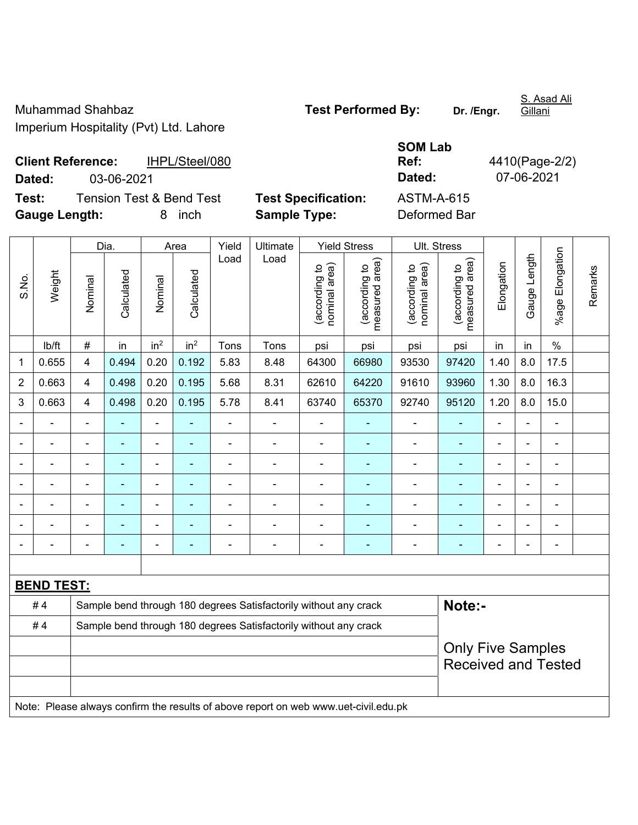Muhammad Shahbaz **Test Performed By:** Dr. /Engr. Imperium Hospitality (Pvt) Ltd. Lahore

S. Asad Ali

**SOM Lab Ref:** 4410(Page-2/2)

**Client Reference:** IHPL/Steel/080 **Dated:** 03-06-2021 **Dated:** 07-06-2021 **Test:** Tension Test & Bend Test **Test Specification:** ASTM-A-615 **Gauge Length:** 8 inch **Sample Type:** Deformed Bar

|                |                   | Dia.<br>Area                                                     |                |                 |                 | Yield          | Ultimate<br>Load                                                                    |                                | <b>Yield Stress</b>             | <b>Ult. Stress</b>             |                                 |                          |                |                 |         |
|----------------|-------------------|------------------------------------------------------------------|----------------|-----------------|-----------------|----------------|-------------------------------------------------------------------------------------|--------------------------------|---------------------------------|--------------------------------|---------------------------------|--------------------------|----------------|-----------------|---------|
| S.No.          | Weight            | Nominal                                                          | Calculated     | Nominal         | Calculated      | Load           |                                                                                     | nominal area)<br>(according to | measured area)<br>(according to | nominal area)<br>(according to | measured area)<br>(according to | Elongation               | Gauge Length   | %age Elongation | Remarks |
|                | lb/ft             | $\#$                                                             | in             | in <sup>2</sup> | in <sup>2</sup> | Tons           | Tons                                                                                | psi                            | psi                             | psi                            | psi                             | in                       | in             | $\%$            |         |
| 1              | 0.655             | 4                                                                | 0.494          | 0.20            | 0.192           | 5.83           | 8.48                                                                                | 64300                          | 66980                           | 93530                          | 97420                           | 1.40                     | 8.0            | 17.5            |         |
| 2              | 0.663             | 4                                                                | 0.498          | 0.20            | 0.195           | 5.68           | 8.31                                                                                | 62610                          | 64220                           | 91610                          | 93960                           | 1.30                     | 8.0            | 16.3            |         |
| 3              | 0.663             | 4                                                                | 0.498          | 0.20            | 0.195           | 5.78           | 8.41                                                                                | 63740                          | 65370                           | 92740                          | 95120                           | 1.20                     | 8.0            | 15.0            |         |
|                |                   | $\blacksquare$                                                   | L,             | ä,              |                 | $\blacksquare$ | ä,                                                                                  | L,                             |                                 | $\blacksquare$                 | ä,                              | $\blacksquare$           |                | ä,              |         |
|                |                   |                                                                  |                | ä,              |                 |                |                                                                                     |                                |                                 |                                |                                 |                          |                | $\blacksquare$  |         |
|                |                   |                                                                  |                | ÷               |                 | $\blacksquare$ |                                                                                     | ä,                             |                                 |                                |                                 | $\overline{\phantom{0}}$ |                | ۰               |         |
| $\blacksquare$ |                   | $\blacksquare$                                                   | $\blacksquare$ | $\blacksquare$  |                 | ä,             | $\blacksquare$                                                                      | ä,                             | ÷                               | $\blacksquare$                 | $\blacksquare$                  | $\blacksquare$           | $\blacksquare$ | $\blacksquare$  |         |
|                |                   |                                                                  | $\blacksquare$ | ÷               |                 | -              | $\blacksquare$                                                                      | ä,                             | ۰                               | $\overline{\phantom{0}}$       | $\blacksquare$                  | $\blacksquare$           |                | ÷               |         |
|                |                   | L,                                                               | ÷,             | $\blacksquare$  | ÷,              | $\blacksquare$ | ä,                                                                                  | ä,                             | $\blacksquare$                  | ä,                             | ä,                              | $\blacksquare$           |                | $\blacksquare$  |         |
|                |                   | Ē,                                                               | ä,             | ÷               | ä,              | $\blacksquare$ | ÷                                                                                   | Ĭ.                             | ÷                               | ÷                              |                                 | $\blacksquare$           |                | ÷,              |         |
|                |                   |                                                                  |                |                 |                 |                |                                                                                     |                                |                                 |                                |                                 |                          |                |                 |         |
|                | <b>BEND TEST:</b> |                                                                  |                |                 |                 |                |                                                                                     |                                |                                 |                                |                                 |                          |                |                 |         |
|                | #4                |                                                                  |                |                 |                 |                | Sample bend through 180 degrees Satisfactorily without any crack                    |                                |                                 |                                | Note:-                          |                          |                |                 |         |
|                | #4                | Sample bend through 180 degrees Satisfactorily without any crack |                |                 |                 |                |                                                                                     |                                |                                 |                                |                                 |                          |                |                 |         |
|                |                   | <b>Only Five Samples</b>                                         |                |                 |                 |                |                                                                                     |                                |                                 |                                |                                 |                          |                |                 |         |
|                |                   |                                                                  |                |                 |                 |                |                                                                                     |                                |                                 |                                | <b>Received and Tested</b>      |                          |                |                 |         |
|                |                   |                                                                  |                |                 |                 |                |                                                                                     |                                |                                 |                                |                                 |                          |                |                 |         |
|                |                   |                                                                  |                |                 |                 |                | Note: Please always confirm the results of above report on web www.uet-civil.edu.pk |                                |                                 |                                |                                 |                          |                |                 |         |

Gillani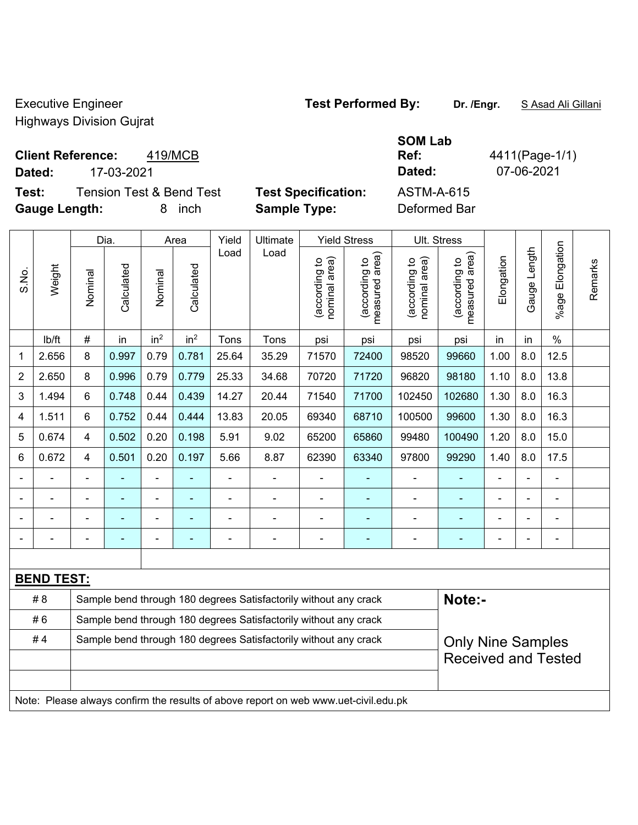Executive Engineer **Test Performed By: Dr. /Engr.** S Asad Ali Gillani

Highways Division Gujrat

#### **Client Reference:** 419/MCB

**Dated:** 17-03-2021 **Dated:** 07-06-2021

**Test:** Tension Test & Bend Test **Test Specification:** ASTM-A-615 **Gauge Length:** 8 inch **Sample Type:** Deformed Bar

**SOM Lab Ref:** 4411(Page-1/1)

Dia. | Area | Yield | Ultimate | Yield Stress | Ult. Stress %age Elongation %age Elongation Gauge Length Load Load Gauge Length (according to<br>measured area) measured area) (according to<br>measured area) measured area) (according to<br>nominal area) (according to<br>nominal area) Elongation nominal area) nominal area) Elongation (according to (according to (according to (according to Remarks Remarks **Calculated Calculated** Weight Calculated Calculated S.No. Nominal Nominal Vominal Vominal <code>ib/ft</code>  $\mid$  #  $\mid$  in  $\mid$  in<sup>2</sup>  $\mid$  in<sup>2</sup>  $\mid$  Tons  $\mid$  psi  $\mid$  psi  $\mid$  psi  $\mid$  psi  $\mid$  in  $\mid$  in  $\mid$  % 1 2.656 8 0.997 0.79 0.781 25.64 35.29 71570 72400 98520 99660 1.00 8.0 12.5 2 | 2.650 | 8 | 0.996 | 0.79 | 0.779 | 25.33 | 34.68 | 70720 | 71720 | 96820 | 98180 | 1.10 | 8.0 | 13.8 3 | 1.494 | 6 | 0.748 | 0.44 | 0.439 | 14.27 | 20.44 | 71540 | 71700 | 102450 | 102680 | 1.30 | 8.0 | 16.3 4 | 1.511 | 6 | 0.752 | 0.44 | 0.444 | 13.83 | 20.05 | 69340 | 68710 | 100500 | 99600 | 1.30 | 8.0 | 16.3 5 | 0.674 | 4 | 0.502 | 0.20 | 0.198 | 5.91 | 9.02 | 65200 | 65860 | 99480 | 100490 | 1.20 | 8.0 | 15.0 6 | 0.672 | 4 | 0.501 | 0.20 | 0.197 | 5.66 | 8.87 | 62390 | 63340 | 97800 | 99290 | 1.40 | 8.0 | 17.5 - - - - - - - - - - - - - - - - - - - - - - - - - - - - - - - - - - - - - - - - - - - - - - - - - - - - - - - - - - - - **BEND TEST:**  # 8 Sample bend through 180 degrees Satisfactorily without any crack **Note:**-#6 Sample bend through 180 degrees Satisfactorily without any crack #4 | Sample bend through 180 degrees Satisfactorily without any crack Only Nine Samples Received and Tested Note: Please always confirm the results of above report on web www.uet-civil.edu.pk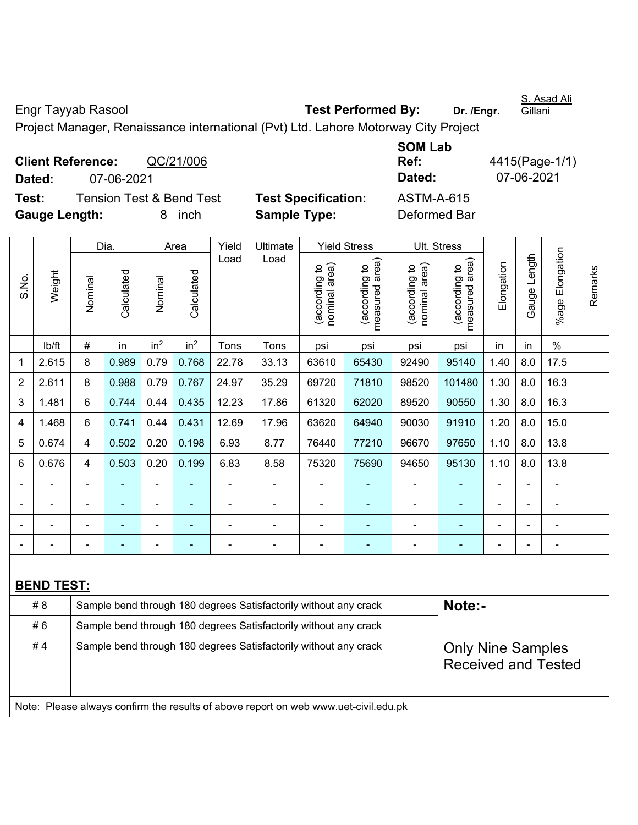Engr Tayyab Rasool **Test Performed By: Dr. /Engr.** 

S. Asad Ali Gillani

Project Manager, Renaissance international (Pvt) Ltd. Lahore Motorway City Project

**Client Reference:** QC/21/006 **Dated:** 07-06-2021 **Dated:** 07-06-2021 **Test:** Tension Test & Bend Test **Test Specification:** ASTM-A-615 **Gauge Length:** 8 inch **Sample Type:** Deformed Bar

**SOM Lab Ref:** 4415(Page-1/1)

|       |                   |                                                                  | Dia.       |                 | Area            | Yield          | Ultimate                                                                            |                                | <b>Yield Stress</b>             |                                | Ult. Stress                     |                |              |                              |         |
|-------|-------------------|------------------------------------------------------------------|------------|-----------------|-----------------|----------------|-------------------------------------------------------------------------------------|--------------------------------|---------------------------------|--------------------------------|---------------------------------|----------------|--------------|------------------------------|---------|
| S.No. | Weight            | Nominal                                                          | Calculated | Nominal         | Calculated      | Load           | Load                                                                                | (according to<br>nominal area) | (according to<br>measured area) | nominal area)<br>(according to | (according to<br>measured area) | Elongation     | Gauge Length | Elongation<br>%age l         | Remarks |
|       | lb/ft             | #                                                                | in         | in <sup>2</sup> | in <sup>2</sup> | Tons           | Tons                                                                                | psi                            | psi                             | psi                            | psi                             | in             | in           | $\%$                         |         |
| 1     | 2.615             | 8                                                                | 0.989      | 0.79            | 0.768           | 22.78          | 33.13                                                                               | 63610                          | 65430                           | 92490                          | 95140                           | 1.40           | 8.0          | 17.5                         |         |
| 2     | 2.611             | 8                                                                | 0.988      | 0.79            | 0.767           | 24.97          | 35.29                                                                               | 69720                          | 71810                           | 98520                          | 101480                          | 1.30           | 8.0          | 16.3                         |         |
| 3     | 1.481             | 6                                                                | 0.744      | 0.44            | 0.435           | 12.23          | 17.86                                                                               | 61320                          | 62020                           | 89520                          | 90550                           | 1.30           | 8.0          | 16.3                         |         |
| 4     | 1.468             | 6                                                                | 0.741      | 0.44            | 0.431           | 12.69          | 17.96                                                                               | 63620                          | 64940                           | 90030                          | 91910                           | 1.20           | 8.0          | 15.0                         |         |
| 5     | 0.674             | 4                                                                | 0.502      | 0.20            | 0.198           | 6.93           | 8.77                                                                                | 76440                          | 77210                           | 96670                          | 97650                           | 1.10           | 8.0          | 13.8                         |         |
| 6     | 0.676             | 4                                                                | 0.503      | 0.20            | 0.199           | 6.83           | 8.58                                                                                | 75320                          | 75690                           | 94650                          | 95130                           | 1.10           | 8.0          | 13.8                         |         |
|       |                   |                                                                  |            |                 |                 |                |                                                                                     |                                |                                 |                                |                                 |                |              |                              |         |
|       |                   |                                                                  |            |                 |                 |                |                                                                                     | $\blacksquare$                 |                                 |                                |                                 |                |              | $\blacksquare$               |         |
|       |                   |                                                                  |            |                 |                 |                |                                                                                     | $\blacksquare$                 |                                 |                                |                                 |                |              | ÷.                           |         |
|       |                   | ÷,                                                               |            | $\blacksquare$  |                 | $\blacksquare$ | ÷,                                                                                  | $\blacksquare$                 | ۰                               | $\overline{\phantom{a}}$       | ٠                               | $\blacksquare$ |              | $\qquad \qquad \blacksquare$ |         |
|       |                   |                                                                  |            |                 |                 |                |                                                                                     |                                |                                 |                                |                                 |                |              |                              |         |
|       | <b>BEND TEST:</b> |                                                                  |            |                 |                 |                |                                                                                     |                                |                                 |                                |                                 |                |              |                              |         |
|       | # 8               |                                                                  |            |                 |                 |                | Sample bend through 180 degrees Satisfactorily without any crack                    |                                |                                 |                                | Note:-                          |                |              |                              |         |
|       | #6                |                                                                  |            |                 |                 |                | Sample bend through 180 degrees Satisfactorily without any crack                    |                                |                                 |                                |                                 |                |              |                              |         |
|       | #4                | Sample bend through 180 degrees Satisfactorily without any crack |            |                 |                 |                |                                                                                     |                                |                                 |                                | <b>Only Nine Samples</b>        |                |              |                              |         |
|       |                   |                                                                  |            |                 |                 |                |                                                                                     |                                |                                 |                                | <b>Received and Tested</b>      |                |              |                              |         |
|       |                   |                                                                  |            |                 |                 |                |                                                                                     |                                |                                 |                                |                                 |                |              |                              |         |
|       |                   |                                                                  |            |                 |                 |                | Note: Please always confirm the results of above report on web www.uet-civil.edu.pk |                                |                                 |                                |                                 |                |              |                              |         |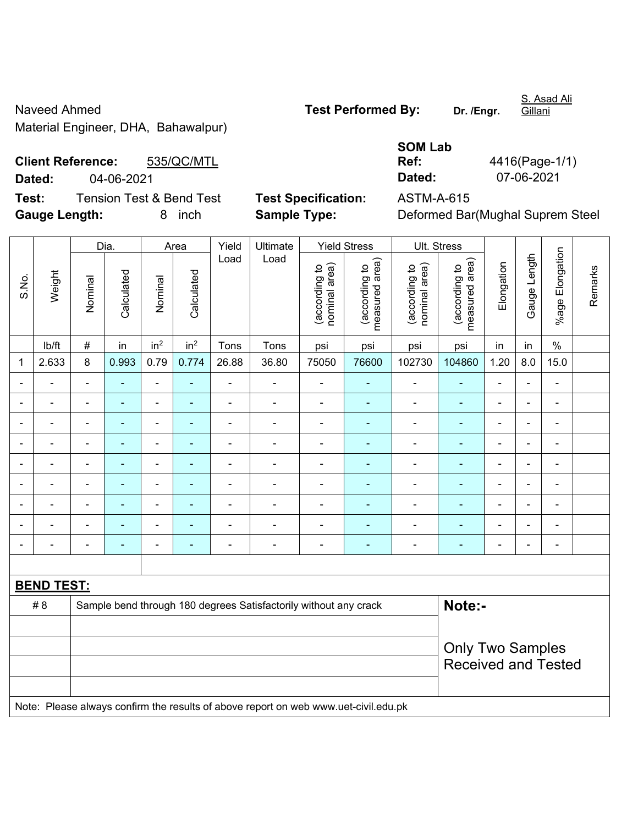Naveed Ahmed **Naveed Ahmed Test Performed By:** Dr. /Engr. Material Engineer, DHA, Bahawalpur)

Gillani

**Client Reference:** 535/QC/MTL **Dated:** 04-06-2021 **Dated:** 07-06-2021 **Test:** Tension Test & Bend Test **Test Specification:** ASTM-A-615

| <b>SOM Lab</b> |                |
|----------------|----------------|
| Ref:           | 4416(Page-1/1) |
| Dated:         | 07-06-2021     |

**Gauge Length:** 8 inch **Sample Type:** Deformed Bar(Mughal Suprem Steel

|                |                   |                | Dia.                     |                              | Area            | Yield          | Ultimate                                                                            |                                | <b>Yield Stress</b>             |                                | Ult. Stress                     |                |                          |                              |         |
|----------------|-------------------|----------------|--------------------------|------------------------------|-----------------|----------------|-------------------------------------------------------------------------------------|--------------------------------|---------------------------------|--------------------------------|---------------------------------|----------------|--------------------------|------------------------------|---------|
| S.No.          | Weight            | Nominal        | Calculated               | Nominal                      | Calculated      | Load           | Load                                                                                | nominal area)<br>(according to | measured area)<br>(according to | nominal area)<br>(according to | measured area)<br>(according to | Elongation     | Gauge Length             | %age Elongation              | Remarks |
|                | lb/ft             | $\#$           | in                       | in <sup>2</sup>              | in <sup>2</sup> | Tons           | Tons                                                                                | psi                            | psi                             | psi                            | psi                             | in             | in                       | $\%$                         |         |
| 1              | 2.633             | 8              | 0.993                    | 0.79                         | 0.774           | 26.88          | 36.80                                                                               | 75050                          | 76600                           | 102730                         | 104860                          | 1.20           | 8.0                      | 15.0                         |         |
|                |                   | $\overline{a}$ | $\overline{\phantom{0}}$ | ä,                           | L.              | $\blacksquare$ | ä,                                                                                  | $\blacksquare$                 |                                 | L,                             | $\overline{a}$                  | $\blacksquare$ | ÷                        | $\overline{a}$               |         |
| $\blacksquare$ | $\blacksquare$    | $\blacksquare$ | $\blacksquare$           | $\qquad \qquad \blacksquare$ | ٠               | $\blacksquare$ | $\overline{\phantom{a}}$                                                            | $\blacksquare$                 | $\overline{\phantom{a}}$        | $\blacksquare$                 | $\blacksquare$                  | $\blacksquare$ | $\overline{\phantom{a}}$ | $\overline{\phantom{a}}$     |         |
| $\blacksquare$ |                   | $\blacksquare$ | $\blacksquare$           | ÷,                           | ÷               | $\blacksquare$ | $\qquad \qquad \blacksquare$                                                        | $\overline{\phantom{a}}$       | $\blacksquare$                  | $\blacksquare$                 | $\qquad \qquad \blacksquare$    | $\blacksquare$ | $\blacksquare$           | $\blacksquare$               |         |
|                | ÷                 | $\blacksquare$ | $\blacksquare$           | $\blacksquare$               | $\blacksquare$  | $\blacksquare$ | ÷                                                                                   | ä,                             | $\blacksquare$                  | $\overline{\phantom{a}}$       | $\blacksquare$                  | $\blacksquare$ | $\blacksquare$           | $\qquad \qquad \blacksquare$ |         |
|                | ÷                 | $\blacksquare$ | $\blacksquare$           | $\blacksquare$               | ٠               | L,             | ÷                                                                                   | $\blacksquare$                 | $\overline{\phantom{a}}$        | $\blacksquare$                 | $\blacksquare$                  | $\blacksquare$ | ÷                        | ä,                           |         |
|                |                   |                | ÷                        | ÷                            | ä,              | L,             | ä,                                                                                  | $\blacksquare$                 | $\blacksquare$                  | L,                             | ä,                              | L,             | ÷                        | $\overline{a}$               |         |
|                |                   |                |                          | $\overline{a}$               |                 |                | $\blacksquare$                                                                      |                                |                                 | $\blacksquare$                 |                                 |                | $\blacksquare$           | $\blacksquare$               |         |
|                |                   |                |                          | ÷                            |                 |                | ۰                                                                                   |                                |                                 |                                |                                 |                |                          |                              |         |
| $\blacksquare$ |                   | $\blacksquare$ | $\blacksquare$           | $\blacksquare$               | $\overline{a}$  | $\blacksquare$ | ÷                                                                                   | $\blacksquare$                 | $\overline{\phantom{a}}$        | -                              | $\blacksquare$                  | $\blacksquare$ | $\blacksquare$           | $\overline{\phantom{a}}$     |         |
|                |                   |                |                          |                              |                 |                |                                                                                     |                                |                                 |                                |                                 |                |                          |                              |         |
|                | <b>BEND TEST:</b> |                |                          |                              |                 |                |                                                                                     |                                |                                 |                                |                                 |                |                          |                              |         |
|                | # 8               |                |                          |                              |                 |                | Sample bend through 180 degrees Satisfactorily without any crack                    |                                |                                 |                                | Note:-                          |                |                          |                              |         |
|                |                   |                |                          |                              |                 |                |                                                                                     |                                |                                 |                                |                                 |                |                          |                              |         |
|                |                   |                |                          |                              |                 |                |                                                                                     |                                |                                 |                                | <b>Only Two Samples</b>         |                |                          |                              |         |
|                |                   |                |                          |                              |                 |                |                                                                                     |                                |                                 | <b>Received and Tested</b>     |                                 |                |                          |                              |         |
|                |                   |                |                          |                              |                 |                |                                                                                     |                                |                                 |                                |                                 |                |                          |                              |         |
|                |                   |                |                          |                              |                 |                | Note: Please always confirm the results of above report on web www.uet-civil.edu.pk |                                |                                 |                                |                                 |                |                          |                              |         |

S. Asad Ali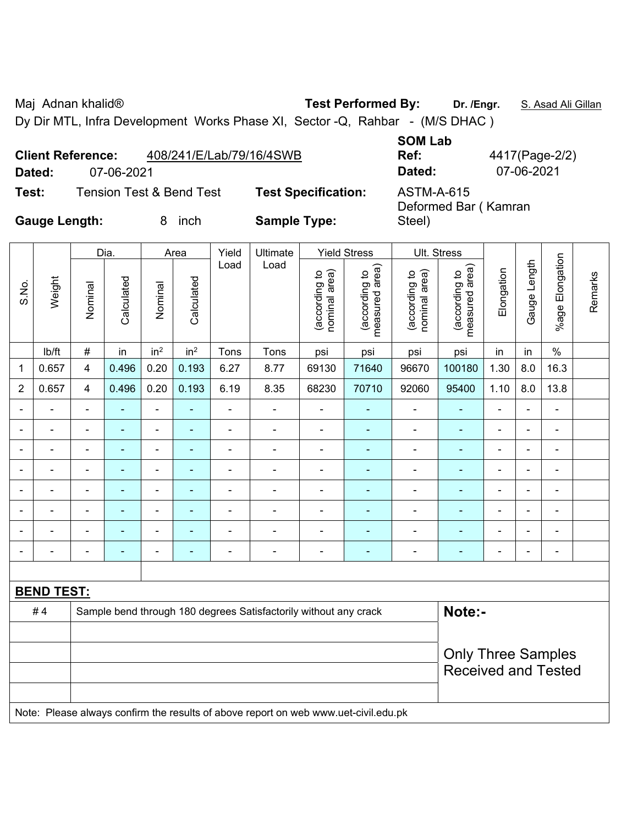Maj Adnan khalid® **Test Performed By:** Dr. /Engr. **S. Asad Ali Gillan** 

Steel)

Dy Dir MTL, Infra Development Works Phase XI, Sector -Q, Rahbar - (M/S DHAC )

|        | <b>Client Reference:</b>            | 408/241/E/Lab/79/16/4SWB   | <b>SOM LAD</b><br>Ref: |
|--------|-------------------------------------|----------------------------|------------------------|
| Dated: | 07-06-2021                          |                            | Dated:                 |
| Test:  | <b>Tension Test &amp; Bend Test</b> | <b>Test Specification:</b> | ASTM-A-615             |

**SOM Lab Ref:** 4417(Page-2/2) **Dated:** 07-06-2021 **Dated:** 07-06-2021

Deformed Bar ( Kamran

**Gauge Length:** 8 inch **Sample Type:** 

|                |                   |                         | Dia.           |                 | Area                     | Yield          | Ultimate                                                                            |                                | <b>Yield Stress</b>             |                                | Ult. Stress                     |                |                |                 |         |
|----------------|-------------------|-------------------------|----------------|-----------------|--------------------------|----------------|-------------------------------------------------------------------------------------|--------------------------------|---------------------------------|--------------------------------|---------------------------------|----------------|----------------|-----------------|---------|
| S.No.          | Weight            | Nominal                 | Calculated     | Nominal         | Calculated               | Load           | Load                                                                                | nominal area)<br>(according to | (according to<br>measured area) | nominal area)<br>(according to | (according to<br>measured area) | Elongation     | Gauge Length   | %age Elongation | Remarks |
|                | lb/ft             | $\#$                    | in             | in <sup>2</sup> | in <sup>2</sup>          | Tons           | Tons                                                                                | psi                            | psi                             | psi                            | psi                             | in             | in             | $\%$            |         |
| 1              | 0.657             | $\overline{\mathbf{4}}$ | 0.496          | 0.20            | 0.193                    | 6.27           | 8.77                                                                                | 69130                          | 71640                           | 96670                          | 100180                          | 1.30           | 8.0            | 16.3            |         |
| $\overline{2}$ | 0.657             | $\overline{4}$          | 0.496          | 0.20            | 0.193                    | 6.19           | 8.35                                                                                | 68230                          | 70710                           | 92060                          | 95400                           | 1.10           | 8.0            | 13.8            |         |
|                |                   |                         |                | $\blacksquare$  | $\blacksquare$           | $\blacksquare$ | ä,                                                                                  | $\blacksquare$                 |                                 | $\blacksquare$                 | $\blacksquare$                  | $\blacksquare$ |                | ÷               |         |
|                |                   |                         | $\blacksquare$ | ÷               | ٠                        | $\blacksquare$ | $\blacksquare$                                                                      | $\blacksquare$                 | ٠                               | ۰                              | $\blacksquare$                  | $\blacksquare$ |                | ÷               |         |
| $\blacksquare$ | ÷                 | $\blacksquare$          | $\blacksquare$ | ÷,              | ٠                        | $\blacksquare$ | ÷,                                                                                  | $\blacksquare$                 | $\blacksquare$                  | $\overline{\phantom{a}}$       | $\frac{1}{2}$                   | $\blacksquare$ | $\blacksquare$ | $\blacksquare$  |         |
|                | ä,                |                         | ÷              | $\blacksquare$  | $\overline{\phantom{0}}$ | $\blacksquare$ | ÷                                                                                   | $\overline{a}$                 | ÷                               | $\qquad \qquad \blacksquare$   | $\blacksquare$                  | $\blacksquare$ | ÷,             | ÷               |         |
|                | ÷                 | $\blacksquare$          | ÷,             | $\blacksquare$  | $\blacksquare$           | $\blacksquare$ | ÷                                                                                   | L,                             | $\blacksquare$                  | ÷,                             | ä,                              | $\blacksquare$ |                | ÷,              |         |
|                |                   |                         |                | L,              |                          | $\blacksquare$ |                                                                                     | ÷                              | ٠                               | ÷                              | ۰                               |                |                | $\blacksquare$  |         |
|                |                   |                         |                |                 |                          |                |                                                                                     | ÷                              |                                 | ۰                              |                                 |                |                |                 |         |
|                |                   | $\blacksquare$          | ۰              | ÷               | ٠                        | $\overline{a}$ | ÷                                                                                   | -                              | ٠                               | ÷                              | ۰                               | $\blacksquare$ | $\blacksquare$ | $\overline{a}$  |         |
|                |                   |                         |                |                 |                          |                |                                                                                     |                                |                                 |                                |                                 |                |                |                 |         |
|                | <b>BEND TEST:</b> |                         |                |                 |                          |                |                                                                                     |                                |                                 |                                |                                 |                |                |                 |         |
|                | #4                |                         |                |                 |                          |                | Sample bend through 180 degrees Satisfactorily without any crack                    |                                |                                 |                                | Note:-                          |                |                |                 |         |
|                |                   |                         |                |                 |                          |                |                                                                                     |                                |                                 |                                |                                 |                |                |                 |         |
|                |                   |                         |                |                 |                          |                |                                                                                     |                                |                                 |                                | <b>Only Three Samples</b>       |                |                |                 |         |
|                |                   |                         |                |                 |                          |                |                                                                                     |                                |                                 |                                | <b>Received and Tested</b>      |                |                |                 |         |
|                |                   |                         |                |                 |                          |                | Note: Please always confirm the results of above report on web www.uet-civil.edu.pk |                                |                                 |                                |                                 |                |                |                 |         |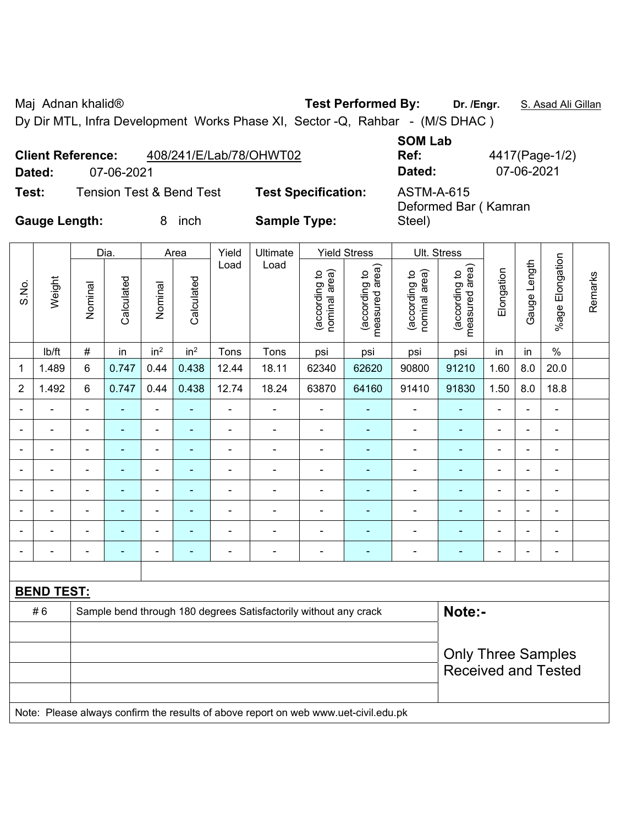Maj Adnan khalid® **Test Performed By:** Dr. /Engr. **S. Asad Ali Gillan** 

Dy Dir MTL, Infra Development Works Phase XI, Sector -Q, Rahbar - (M/S DHAC )

| <b>Client Reference:</b> |            | 408/241/E/Lab/78/OHWT02             |                           |
|--------------------------|------------|-------------------------------------|---------------------------|
| Dated:                   | 07-06-2021 |                                     |                           |
| Test:                    |            | <b>Tension Test &amp; Bend Test</b> | <b>Test Specification</b> |

**SOM Lab Ref:** 4417(Page-1/2) **Dated:** 07-06-2021 **Dated:** 07-06-2021

**on:** ASTM-A-615 Deformed Bar ( Kamran Steel)

**Gauge Length:** 8 inch **Sample Type:** 

|                |                   |                | Dia.                     |                          | Area            | Yield                        | Ultimate                                                                            |                                | <b>Yield Stress</b>             |                                | Ult. Stress                     |                |                          |                          |         |
|----------------|-------------------|----------------|--------------------------|--------------------------|-----------------|------------------------------|-------------------------------------------------------------------------------------|--------------------------------|---------------------------------|--------------------------------|---------------------------------|----------------|--------------------------|--------------------------|---------|
| S.No.          | Weight            | Nominal        | Calculated               | Nominal                  | Calculated      | Load                         | Load                                                                                | nominal area)<br>(according to | (according to<br>measured area) | nominal area)<br>(according to | (according to<br>measured area) | Elongation     | Gauge Length             | %age Elongation          | Remarks |
|                | lb/ft             | $\#$           | in                       | in <sup>2</sup>          | in <sup>2</sup> | Tons                         | Tons                                                                                | psi                            | psi                             | psi                            | psi                             | in             | in                       | $\%$                     |         |
| 1              | 1.489             | 6              | 0.747                    | 0.44                     | 0.438           | 12.44                        | 18.11                                                                               | 62340                          | 62620                           | 90800                          | 91210                           | 1.60           | 8.0                      | 20.0                     |         |
| $\overline{2}$ | 1.492             | 6              | 0.747                    | 0.44                     | 0.438           | 12.74                        | 18.24                                                                               | 63870                          | 64160                           | 91410                          | 91830                           | 1.50           | 8.0                      | 18.8                     |         |
|                |                   | $\blacksquare$ | $\blacksquare$           | ÷,                       |                 | $\qquad \qquad \blacksquare$ |                                                                                     | $\blacksquare$                 |                                 | $\blacksquare$                 | ۰                               | $\blacksquare$ |                          | $\overline{\phantom{0}}$ |         |
|                | $\blacksquare$    | $\blacksquare$ | ÷,                       | $\blacksquare$           | ÷               | $\overline{\phantom{a}}$     | ÷,                                                                                  | $\blacksquare$                 | ÷                               | $\overline{a}$                 | $\blacksquare$                  | $\blacksquare$ | ÷                        | $\blacksquare$           |         |
|                |                   |                | $\blacksquare$           | ÷                        | ٠               | $\blacksquare$               |                                                                                     | ÷                              | ٠                               | $\blacksquare$                 | $\blacksquare$                  |                |                          | $\blacksquare$           |         |
|                |                   |                |                          | ÷                        |                 | $\blacksquare$               |                                                                                     | ä,                             |                                 | $\blacksquare$                 |                                 | ٠              |                          | ۰                        |         |
| $\blacksquare$ |                   | $\blacksquare$ | $\blacksquare$           | ÷,                       | ÷               | $\blacksquare$               | $\blacksquare$                                                                      | L,                             | ۰                               | $\blacksquare$                 | $\blacksquare$                  | $\blacksquare$ | ä,                       | $\blacksquare$           |         |
|                |                   | ٠              | $\overline{\phantom{0}}$ | $\overline{\phantom{a}}$ |                 | $\blacksquare$               | $\blacksquare$                                                                      | -                              | ۰                               | $\overline{\phantom{0}}$       | $\blacksquare$                  | Ē,             | $\overline{\phantom{0}}$ | $\overline{\phantom{a}}$ |         |
|                | $\blacksquare$    | $\blacksquare$ | ä,                       | $\blacksquare$           | $\blacksquare$  | ä,                           | ä,                                                                                  | ä,                             | ٠                               | $\blacksquare$                 | ä,                              | $\blacksquare$ | ÷                        | $\blacksquare$           |         |
|                |                   |                |                          | $\overline{a}$           | Ē.              | $\blacksquare$               | $\blacksquare$                                                                      | ä,                             | ۰                               | $\blacksquare$                 | $\blacksquare$                  | $\blacksquare$ |                          | $\blacksquare$           |         |
|                |                   |                |                          |                          |                 |                              |                                                                                     |                                |                                 |                                |                                 |                |                          |                          |         |
|                | <b>BEND TEST:</b> |                |                          |                          |                 |                              |                                                                                     |                                |                                 |                                |                                 |                |                          |                          |         |
|                | #6                |                |                          |                          |                 |                              | Sample bend through 180 degrees Satisfactorily without any crack                    |                                |                                 |                                | Note:-                          |                |                          |                          |         |
|                |                   |                |                          |                          |                 |                              |                                                                                     |                                |                                 |                                |                                 |                |                          |                          |         |
|                |                   |                |                          |                          |                 |                              |                                                                                     |                                |                                 |                                | <b>Only Three Samples</b>       |                |                          |                          |         |
|                |                   |                |                          |                          |                 |                              |                                                                                     |                                |                                 |                                | <b>Received and Tested</b>      |                |                          |                          |         |
|                |                   |                |                          |                          |                 |                              |                                                                                     |                                |                                 |                                |                                 |                |                          |                          |         |
|                |                   |                |                          |                          |                 |                              | Note: Please always confirm the results of above report on web www.uet-civil.edu.pk |                                |                                 |                                |                                 |                |                          |                          |         |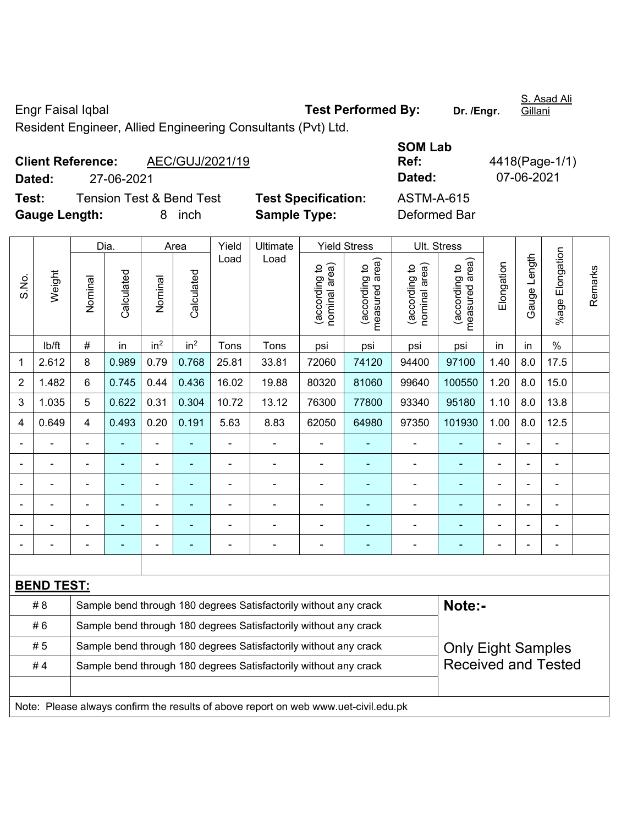Engr Faisal Iqbal **Test Performed By: Dr. /Engr.**  S. Asad Ali Gillani

**Client Reference:** AEC/GUJ/2021/19

S.No.

**Dated:** 27-06-2021 **Dated:** 07-06-2021 **Test:** Tension Test & Bend Test **Test Specification:** ASTM-A-615 **Gauge Length:** 8 inch **Sample Type:** Deformed Bar

Dia. | Area | Yield | Ultimate | Yield Stress | Ult. Stress %age Elongation %age Elongation Gauge Length Load Load Gauge Length (according to<br>measured area) measured area) measured area) (according to<br>nominal area) (according to<br>nominal area) nominal area) nominal area) (according to<br>measured area) Elongation Elongation (according to (according to (according to (according to Weight **Calculated Calculated** Calculated Calculated Nominal Nominal Vominal Nominal | lb/ft | # | in | in<sup>2</sup> | in<sup>2</sup> | Tons | Tons | psi | psi | psi | psi | in | in | % 1 2.612 8 0.989 0.79 0.768 25.81 33.81 72060 74120 94400 97100 1.40 8.0 17.5 2 | 1.482 | 6 | 0.745 | 0.44 | 0.436 | 16.02 | 19.88 | 80320 | 81060 | 99640 | 100550 | 1.20 | 8.0 | 15.0 3 | 1.035 | 5 | 0.622 | 0.31 | 0.304 | 10.72 | 13.12 | 76300 | 77800 | 93340 | 95180 | 1.10 | 8.0 | 13.8 4 | 0.649 | 4 | 0.493 | 0.20 | 0.191 | 5.63 | 8.83 | 62050 | 64980 | 97350 | 101930 | 1.00 | 8.0 | 12.5 - - - - - - - - - - - - - - - - - - - - - - - - - - - - - -

- - - - - - - - - - - - - - - - - - - - - - - - - - - - - - - - - - - - - - - - - - - - - **BEND TEST:**  # 8 Sample bend through 180 degrees Satisfactorily without any crack **Note:- Note:** #6 Sample bend through 180 degrees Satisfactorily without any crack Only Eight Samples Received and Tested #5 Sample bend through 180 degrees Satisfactorily without any crack #4 Sample bend through 180 degrees Satisfactorily without any crack Note: Please always confirm the results of above report on web www.uet-civil.edu.pk

- - - - - - - - - - - - - - -

**SOM Lab Ref:** 4418(Page-1/1)

Remarks

Remarks

Resident Engineer, Allied Engineering Consultants (Pvt) Ltd.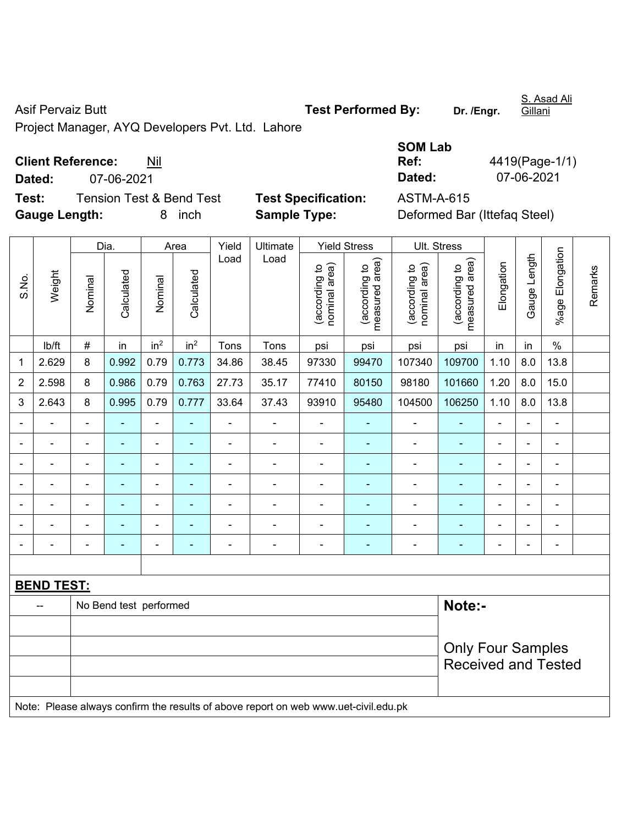Asif Pervaiz Butt **Test Performed By:** Dr. /Engr.

S. Asad Ali

Project Manager, AYQ Developers Pvt. Ltd. Lahore

### **Client Reference:** Nil

**Test:** Tension Test & Bend Test **Test Specification:** ASTM-A-615 **Gauge Length:** 8 inch **Sample Type:** Deformed Bar (Ittefaq Steel)

|                          |            | <b>SOM Lab</b> |                |
|--------------------------|------------|----------------|----------------|
| <b>Client Reference:</b> | Nil        | Ref:           | 4419(Page-1/1) |
| Dated:                   | 07-06-2021 | Dated:         | 07-06-2021     |

Dia. | Area | Yield | Ultimate | Yield Stress | Ult. Stress %age Elongation %age Elongation Gauge Length Load Load Gauge Length (according to<br>measured area) measured area) measured area) (according to<br>nominal area) (according to<br>nominal area) (according to<br>measured area) nominal area) nominal area) Elongation Elongation (according to (according to (according to (according to Remarks Remarks Weight **Calculated Calculated** Calculated Calculated S.No. Nominal Nominal Nominal Nominal | lb/ft | # | in | in<sup>2</sup> | in<sup>2</sup> | Tons | Tons | psi | psi | psi | psi | in | in | % 1 | 2.629 | 8 | 0.992 | 0.79 | 0.773 | 34.86 | 38.45 | 97330 | 99470 | 107340 | 109700 | 1.10 | 8.0 | 13.8 2 | 2.598 | 8 | 0.986 | 0.79 | 0.763 | 27.73 | 35.17 | 77410 | 80150 | 98180 | 101660 | 1.20 | 8.0 | 15.0 3 | 2.643 | 8 | 0.995 | 0.79 | 0.777 | 33.64 | 37.43 | 93910 | 95480 | 104500 | 106250 | 1.10 | 8.0 | 13.8 - - - - - - - - - - - - - - - - - - - - - - - - - - - - - - - - - - - - - - - - - - - - - - - - - - - - - - - - - - - - - - - - - - - - - - - - - - - - - - - - - - - - - - - - - - - - - - - - - - - - - - - - - **BEND TEST:**  -- No Bend test performed **Note:**-Only Four Samples Received and Tested Note: Please always confirm the results of above report on web www.uet-civil.edu.pk

**Gillani**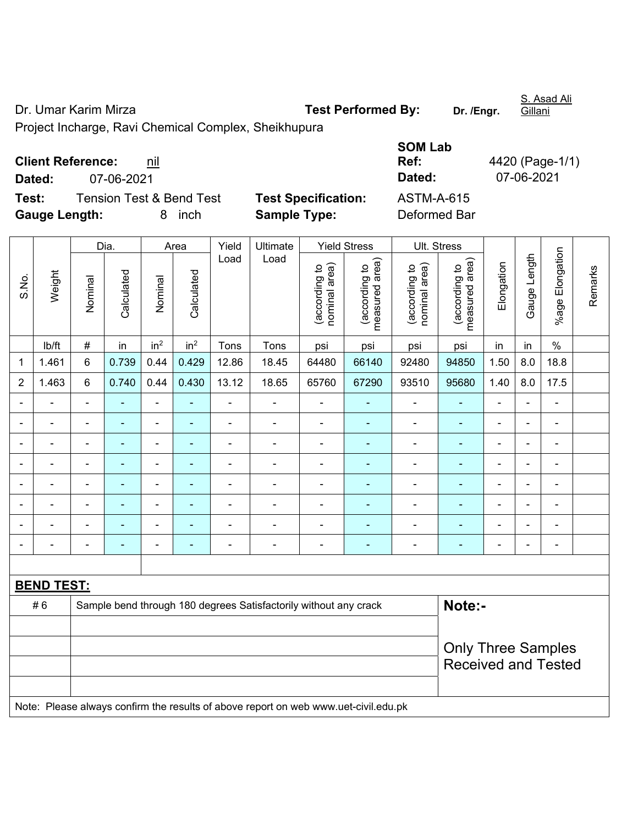Dr. Umar Karim Mirza **Test Performed By:** Dr. /Engr.

S. Asad Ali Gillani

Project Incharge, Ravi Chemical Complex, Sheikhupura

| <b>Client Reference:</b> | nil |
|--------------------------|-----|
|--------------------------|-----|

**Dated:** 07-06-2021 **Dated:** 07-06-2021

**Test:** Tension Test & Bend Test **Test Specification:** Gauge Length: **8** inch **Sample Type:** 

| <b>SOM Lab</b> |                 |
|----------------|-----------------|
| Ref:           | 4420 (Page-1/1) |
| Dated:         | 07-06-2021      |
| ASTM-A-615     |                 |
| Deformed Bar   |                 |

|                |                   |                | Dia.           |                          | Area            | Yield          | Ultimate                                                                            |                                | <b>Yield Stress</b>             |                                | Ult. Stress                     |                |                |                              |         |
|----------------|-------------------|----------------|----------------|--------------------------|-----------------|----------------|-------------------------------------------------------------------------------------|--------------------------------|---------------------------------|--------------------------------|---------------------------------|----------------|----------------|------------------------------|---------|
| S.No.          | Weight            | Nominal        | Calculated     | Nominal                  | Calculated      | Load           | Load                                                                                | nominal area)<br>(according to | (according to<br>measured area) | nominal area)<br>(according to | (according to<br>measured area) | Elongation     | Gauge Length   | %age Elongation              | Remarks |
|                | lb/ft             | $\#$           | in             | in <sup>2</sup>          | in <sup>2</sup> | Tons           | Tons                                                                                | psi                            | psi                             | psi                            | psi                             | in             | in             | $\%$                         |         |
| $\mathbf 1$    | 1.461             | $\,6$          | 0.739          | 0.44                     | 0.429           | 12.86          | 18.45                                                                               | 64480                          | 66140                           | 92480                          | 94850                           | 1.50           | 8.0            | 18.8                         |         |
| $\overline{2}$ | 1.463             | 6              | 0.740          | 0.44                     | 0.430           | 13.12          | 18.65                                                                               | 65760                          | 67290                           | 93510                          | 95680                           | 1.40           | 8.0            | 17.5                         |         |
|                | $\blacksquare$    |                |                | $\blacksquare$           |                 |                | ä,                                                                                  | $\blacksquare$                 |                                 |                                |                                 | $\blacksquare$ |                | $\blacksquare$               |         |
| $\blacksquare$ | ÷.                | $\blacksquare$ | ä,             | $\blacksquare$           | $\blacksquare$  | L,             | ä,                                                                                  | $\blacksquare$                 | $\blacksquare$                  | ä,                             | $\blacksquare$                  | $\blacksquare$ | ä,             | ÷,                           |         |
| $\blacksquare$ | $\blacksquare$    | $\blacksquare$ | ۰              | $\blacksquare$           | ٠               | $\blacksquare$ | $\blacksquare$                                                                      | $\blacksquare$                 | $\blacksquare$                  | $\overline{\phantom{a}}$       | $\blacksquare$                  | $\blacksquare$ | $\blacksquare$ | $\qquad \qquad \blacksquare$ |         |
|                | $\frac{1}{2}$     | $\blacksquare$ | ä,             | $\blacksquare$           | ÷               | ÷,             | ä,                                                                                  | $\blacksquare$                 |                                 | ÷,                             | $\blacksquare$                  | $\blacksquare$ | ä,             | $\qquad \qquad \blacksquare$ |         |
| $\overline{a}$ | $\blacksquare$    | $\blacksquare$ | ÷              | $\blacksquare$           | $\blacksquare$  | $\blacksquare$ | $\blacksquare$                                                                      | $\blacksquare$                 | ٠                               | $\blacksquare$                 | $\blacksquare$                  | $\blacksquare$ |                | $\blacksquare$               |         |
|                | $\blacksquare$    |                | $\blacksquare$ |                          |                 | Ē,             | Ē,                                                                                  | $\blacksquare$                 |                                 |                                |                                 |                |                | $\blacksquare$               |         |
|                |                   |                |                |                          |                 |                | ÷                                                                                   | $\blacksquare$                 |                                 | ٠                              |                                 |                |                | $\blacksquare$               |         |
|                | $\blacksquare$    | $\blacksquare$ |                | $\overline{\phantom{0}}$ | ۰               | $\blacksquare$ | $\overline{\phantom{0}}$                                                            | $\blacksquare$                 | $\blacksquare$                  | ۰                              | $\blacksquare$                  | $\blacksquare$ |                | $\blacksquare$               |         |
|                |                   |                |                |                          |                 |                |                                                                                     |                                |                                 |                                |                                 |                |                |                              |         |
|                | <b>BEND TEST:</b> |                |                |                          |                 |                |                                                                                     |                                |                                 |                                |                                 |                |                |                              |         |
|                | #6                |                |                |                          |                 |                | Sample bend through 180 degrees Satisfactorily without any crack                    |                                |                                 |                                | Note:-                          |                |                |                              |         |
|                |                   |                |                |                          |                 |                |                                                                                     |                                |                                 |                                |                                 |                |                |                              |         |
|                |                   |                |                |                          |                 |                |                                                                                     |                                |                                 |                                |                                 |                |                | <b>Only Three Samples</b>    |         |
|                |                   |                |                |                          |                 |                |                                                                                     |                                |                                 |                                | <b>Received and Tested</b>      |                |                |                              |         |
|                |                   |                |                |                          |                 |                |                                                                                     |                                |                                 |                                |                                 |                |                |                              |         |
|                |                   |                |                |                          |                 |                | Note: Please always confirm the results of above report on web www.uet-civil.edu.pk |                                |                                 |                                |                                 |                |                |                              |         |